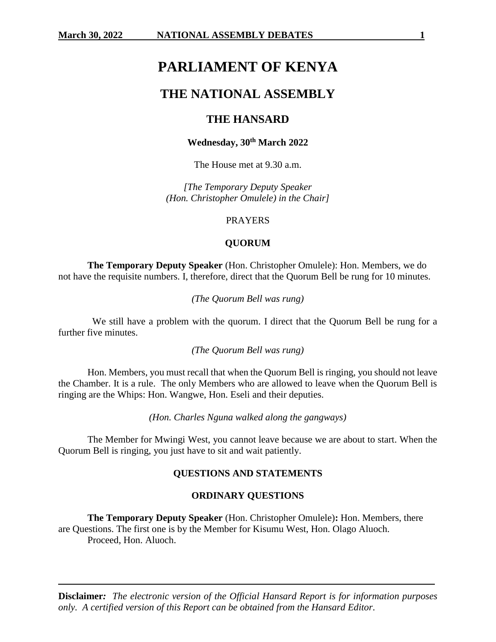# **PARLIAMENT OF KENYA**

# **THE NATIONAL ASSEMBLY**

# **THE HANSARD**

## **Wednesday, 30th March 2022**

The House met at 9.30 a.m.

*[The Temporary Deputy Speaker (Hon. Christopher Omulele) in the Chair]*

# PRAYERS

#### **QUORUM**

**The Temporary Deputy Speaker** (Hon. Christopher Omulele): Hon. Members, we do not have the requisite numbers. I, therefore, direct that the Quorum Bell be rung for 10 minutes.

*(The Quorum Bell was rung)*

 We still have a problem with the quorum. I direct that the Quorum Bell be rung for a further five minutes.

*(The Quorum Bell was rung)*

Hon. Members, you must recall that when the Quorum Bell is ringing, you should not leave the Chamber. It is a rule. The only Members who are allowed to leave when the Quorum Bell is ringing are the Whips: Hon. Wangwe, Hon. Eseli and their deputies.

*(Hon. Charles Nguna walked along the gangways)*

The Member for Mwingi West, you cannot leave because we are about to start. When the Quorum Bell is ringing, you just have to sit and wait patiently.

## **QUESTIONS AND STATEMENTS**

#### **ORDINARY QUESTIONS**

**The Temporary Deputy Speaker** (Hon. Christopher Omulele)**:** Hon. Members, there are Questions. The first one is by the Member for Kisumu West, Hon. Olago Aluoch. Proceed, Hon. Aluoch.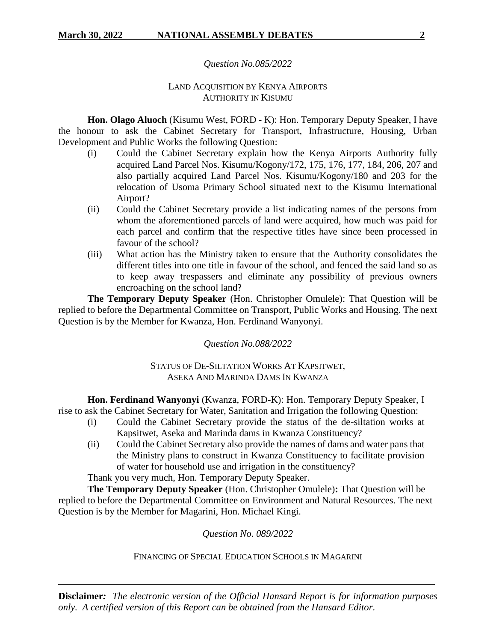# *Question No.085/2022*

# LAND ACQUISITION BY KENYA AIRPORTS AUTHORITY IN KISUMU

**Hon. Olago Aluoch** (Kisumu West, FORD - K): Hon. Temporary Deputy Speaker, I have the honour to ask the Cabinet Secretary for Transport, Infrastructure, Housing, Urban Development and Public Works the following Question:

- (i) Could the Cabinet Secretary explain how the Kenya Airports Authority fully acquired Land Parcel Nos. Kisumu/Kogony/172, 175, 176, 177, 184, 206, 207 and also partially acquired Land Parcel Nos. Kisumu/Kogony/180 and 203 for the relocation of Usoma Primary School situated next to the Kisumu International Airport?
- (ii) Could the Cabinet Secretary provide a list indicating names of the persons from whom the aforementioned parcels of land were acquired, how much was paid for each parcel and confirm that the respective titles have since been processed in favour of the school?
- (iii) What action has the Ministry taken to ensure that the Authority consolidates the different titles into one title in favour of the school, and fenced the said land so as to keep away trespassers and eliminate any possibility of previous owners encroaching on the school land?

**The Temporary Deputy Speaker** (Hon. Christopher Omulele): That Question will be replied to before the Departmental Committee on Transport, Public Works and Housing. The next Question is by the Member for Kwanza, Hon. Ferdinand Wanyonyi.

*Question No.088/2022*

STATUS OF DE-SILTATION WORKS AT KAPSITWET, ASEKA AND MARINDA DAMS IN KWANZA

**Hon. Ferdinand Wanyonyi** (Kwanza, FORD-K): Hon. Temporary Deputy Speaker, I rise to ask the Cabinet Secretary for Water, Sanitation and Irrigation the following Question:

- (i) Could the Cabinet Secretary provide the status of the de-siltation works at Kapsitwet, Aseka and Marinda dams in Kwanza Constituency?
- (ii) Could the Cabinet Secretary also provide the names of dams and water pans that the Ministry plans to construct in Kwanza Constituency to facilitate provision of water for household use and irrigation in the constituency?

Thank you very much, Hon. Temporary Deputy Speaker.

**The Temporary Deputy Speaker** (Hon. Christopher Omulele)**:** That Question will be replied to before the Departmental Committee on Environment and Natural Resources. The next Question is by the Member for Magarini, Hon. Michael Kingi.

*Question No. 089/2022*

FINANCING OF SPECIAL EDUCATION SCHOOLS IN MAGARINI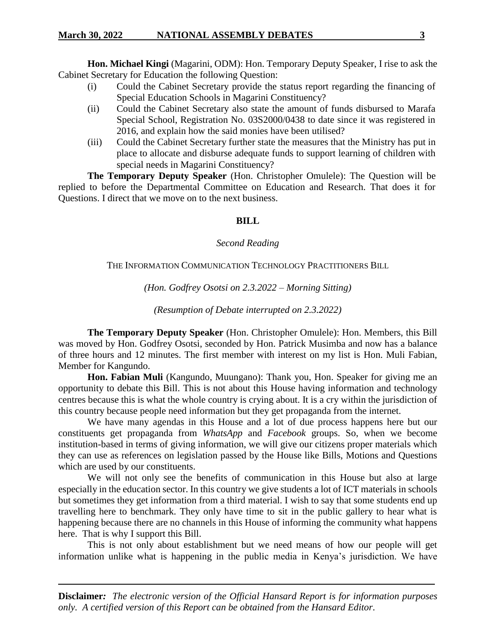**Hon. Michael Kingi** (Magarini, ODM): Hon. Temporary Deputy Speaker, I rise to ask the Cabinet Secretary for Education the following Question:

- (i) Could the Cabinet Secretary provide the status report regarding the financing of Special Education Schools in Magarini Constituency?
- (ii) Could the Cabinet Secretary also state the amount of funds disbursed to Marafa Special School, Registration No. 03S2000/0438 to date since it was registered in 2016, and explain how the said monies have been utilised?
- (iii) Could the Cabinet Secretary further state the measures that the Ministry has put in place to allocate and disburse adequate funds to support learning of children with special needs in Magarini Constituency?

**The Temporary Deputy Speaker** (Hon. Christopher Omulele): The Question will be replied to before the Departmental Committee on Education and Research. That does it for Questions. I direct that we move on to the next business.

#### **BILL**

#### *Second Reading*

#### THE INFORMATION COMMUNICATION TECHNOLOGY PRACTITIONERS BILL

*(Hon. Godfrey Osotsi on 2.3.2022 – Morning Sitting)*

*(Resumption of Debate interrupted on 2.3.2022)*

**The Temporary Deputy Speaker** (Hon. Christopher Omulele): Hon. Members, this Bill was moved by Hon. Godfrey Osotsi, seconded by Hon. Patrick Musimba and now has a balance of three hours and 12 minutes. The first member with interest on my list is Hon. Muli Fabian, Member for Kangundo.

**Hon. Fabian Muli** (Kangundo, Muungano): Thank you, Hon. Speaker for giving me an opportunity to debate this Bill. This is not about this House having information and technology centres because this is what the whole country is crying about. It is a cry within the jurisdiction of this country because people need information but they get propaganda from the internet.

We have many agendas in this House and a lot of due process happens here but our constituents get propaganda from *WhatsApp* and *Facebook* groups. So, when we become institution-based in terms of giving information, we will give our citizens proper materials which they can use as references on legislation passed by the House like Bills, Motions and Questions which are used by our constituents.

We will not only see the benefits of communication in this House but also at large especially in the education sector. In this country we give students a lot of ICT materials in schools but sometimes they get information from a third material. I wish to say that some students end up travelling here to benchmark. They only have time to sit in the public gallery to hear what is happening because there are no channels in this House of informing the community what happens here. That is why I support this Bill.

This is not only about establishment but we need means of how our people will get information unlike what is happening in the public media in Kenya's jurisdiction. We have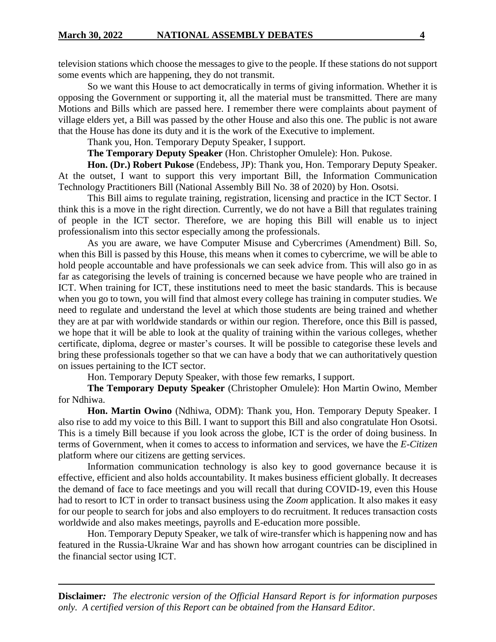television stations which choose the messages to give to the people. If these stations do not support some events which are happening, they do not transmit.

So we want this House to act democratically in terms of giving information. Whether it is opposing the Government or supporting it, all the material must be transmitted. There are many Motions and Bills which are passed here. I remember there were complaints about payment of village elders yet, a Bill was passed by the other House and also this one. The public is not aware that the House has done its duty and it is the work of the Executive to implement.

Thank you, Hon. Temporary Deputy Speaker, I support.

**The Temporary Deputy Speaker** (Hon. Christopher Omulele): Hon. Pukose.

**Hon. (Dr.) Robert Pukose** (Endebess, JP): Thank you, Hon. Temporary Deputy Speaker. At the outset, I want to support this very important Bill, the Information Communication Technology Practitioners Bill (National Assembly Bill No. 38 of 2020) by Hon. Osotsi.

This Bill aims to regulate training, registration, licensing and practice in the ICT Sector. I think this is a move in the right direction. Currently, we do not have a Bill that regulates training of people in the ICT sector. Therefore, we are hoping this Bill will enable us to inject professionalism into this sector especially among the professionals.

As you are aware, we have Computer Misuse and Cybercrimes (Amendment) Bill. So, when this Bill is passed by this House, this means when it comes to cybercrime, we will be able to hold people accountable and have professionals we can seek advice from. This will also go in as far as categorising the levels of training is concerned because we have people who are trained in ICT. When training for ICT, these institutions need to meet the basic standards. This is because when you go to town, you will find that almost every college has training in computer studies. We need to regulate and understand the level at which those students are being trained and whether they are at par with worldwide standards or within our region. Therefore, once this Bill is passed, we hope that it will be able to look at the quality of training within the various colleges, whether certificate, diploma, degree or master's courses. It will be possible to categorise these levels and bring these professionals together so that we can have a body that we can authoritatively question on issues pertaining to the ICT sector.

Hon. Temporary Deputy Speaker, with those few remarks, I support.

**The Temporary Deputy Speaker** (Christopher Omulele): Hon Martin Owino, Member for Ndhiwa.

**Hon. Martin Owino** (Ndhiwa, ODM): Thank you, Hon. Temporary Deputy Speaker. I also rise to add my voice to this Bill. I want to support this Bill and also congratulate Hon Osotsi. This is a timely Bill because if you look across the globe, ICT is the order of doing business. In terms of Government, when it comes to access to information and services, we have the *E-Citizen* platform where our citizens are getting services.

Information communication technology is also key to good governance because it is effective, efficient and also holds accountability. It makes business efficient globally. It decreases the demand of face to face meetings and you will recall that during COVID-19, even this House had to resort to ICT in order to transact business using the *Zoom* application. It also makes it easy for our people to search for jobs and also employers to do recruitment. It reduces transaction costs worldwide and also makes meetings, payrolls and E-education more possible.

Hon. Temporary Deputy Speaker, we talk of wire-transfer which is happening now and has featured in the Russia-Ukraine War and has shown how arrogant countries can be disciplined in the financial sector using ICT.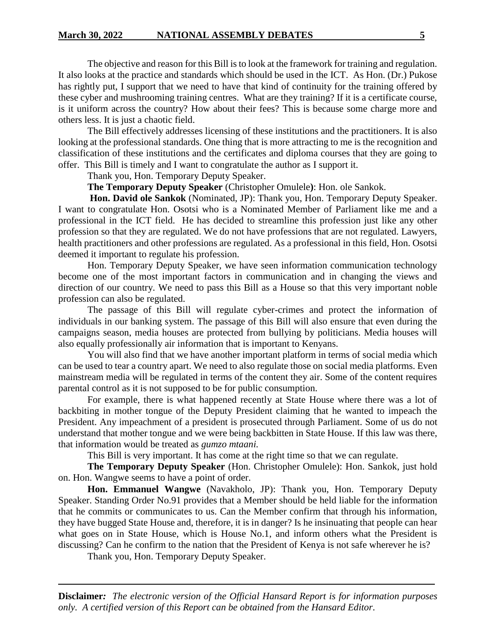The objective and reason for this Bill is to look at the framework for training and regulation. It also looks at the practice and standards which should be used in the ICT. As Hon. (Dr.) Pukose has rightly put, I support that we need to have that kind of continuity for the training offered by these cyber and mushrooming training centres. What are they training? If it is a certificate course, is it uniform across the country? How about their fees? This is because some charge more and others less. It is just a chaotic field.

The Bill effectively addresses licensing of these institutions and the practitioners. It is also looking at the professional standards. One thing that is more attracting to me is the recognition and classification of these institutions and the certificates and diploma courses that they are going to offer. This Bill is timely and I want to congratulate the author as I support it.

Thank you, Hon. Temporary Deputy Speaker.

**The Temporary Deputy Speaker** (Christopher Omulele**)**: Hon. ole Sankok.

**Hon. David ole Sankok** (Nominated, JP): Thank you, Hon. Temporary Deputy Speaker. I want to congratulate Hon. Osotsi who is a Nominated Member of Parliament like me and a professional in the ICT field. He has decided to streamline this profession just like any other profession so that they are regulated. We do not have professions that are not regulated. Lawyers, health practitioners and other professions are regulated. As a professional in this field, Hon. Osotsi deemed it important to regulate his profession.

Hon. Temporary Deputy Speaker, we have seen information communication technology become one of the most important factors in communication and in changing the views and direction of our country. We need to pass this Bill as a House so that this very important noble profession can also be regulated.

The passage of this Bill will regulate cyber-crimes and protect the information of individuals in our banking system. The passage of this Bill will also ensure that even during the campaigns season, media houses are protected from bullying by politicians. Media houses will also equally professionally air information that is important to Kenyans.

You will also find that we have another important platform in terms of social media which can be used to tear a country apart. We need to also regulate those on social media platforms. Even mainstream media will be regulated in terms of the content they air. Some of the content requires parental control as it is not supposed to be for public consumption.

For example, there is what happened recently at State House where there was a lot of backbiting in mother tongue of the Deputy President claiming that he wanted to impeach the President. Any impeachment of a president is prosecuted through Parliament. Some of us do not understand that mother tongue and we were being backbitten in State House. If this law was there, that information would be treated as *gumzo mtaani.*

This Bill is very important. It has come at the right time so that we can regulate.

**The Temporary Deputy Speaker** (Hon. Christopher Omulele): Hon. Sankok, just hold on. Hon. Wangwe seems to have a point of order.

**Hon. Emmanuel Wangwe** (Navakholo, JP): Thank you, Hon. Temporary Deputy Speaker. Standing Order No.91 provides that a Member should be held liable for the information that he commits or communicates to us. Can the Member confirm that through his information, they have bugged State House and, therefore, it is in danger? Is he insinuating that people can hear what goes on in State House, which is House No.1, and inform others what the President is discussing? Can he confirm to the nation that the President of Kenya is not safe wherever he is?

Thank you, Hon. Temporary Deputy Speaker.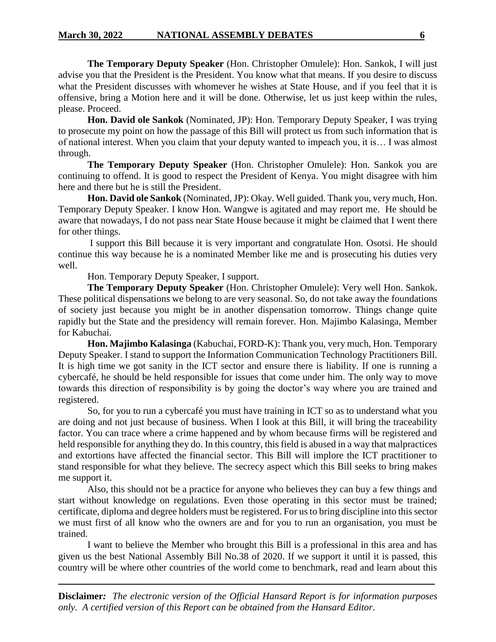**The Temporary Deputy Speaker** (Hon. Christopher Omulele): Hon. Sankok, I will just advise you that the President is the President. You know what that means. If you desire to discuss what the President discusses with whomever he wishes at State House, and if you feel that it is offensive, bring a Motion here and it will be done. Otherwise, let us just keep within the rules, please. Proceed.

**Hon. David ole Sankok** (Nominated, JP): Hon. Temporary Deputy Speaker, I was trying to prosecute my point on how the passage of this Bill will protect us from such information that is of national interest. When you claim that your deputy wanted to impeach you, it is… I was almost through.

**The Temporary Deputy Speaker** (Hon. Christopher Omulele): Hon. Sankok you are continuing to offend. It is good to respect the President of Kenya. You might disagree with him here and there but he is still the President.

**Hon. David ole Sankok** (Nominated, JP): Okay. Well guided. Thank you, very much, Hon. Temporary Deputy Speaker. I know Hon. Wangwe is agitated and may report me. He should be aware that nowadays, I do not pass near State House because it might be claimed that I went there for other things.

I support this Bill because it is very important and congratulate Hon. Osotsi. He should continue this way because he is a nominated Member like me and is prosecuting his duties very well.

Hon. Temporary Deputy Speaker, I support.

**The Temporary Deputy Speaker** (Hon. Christopher Omulele): Very well Hon. Sankok. These political dispensations we belong to are very seasonal. So, do not take away the foundations of society just because you might be in another dispensation tomorrow. Things change quite rapidly but the State and the presidency will remain forever. Hon. Majimbo Kalasinga, Member for Kabuchai.

**Hon. Majimbo Kalasinga** (Kabuchai, FORD-K): Thank you, very much, Hon. Temporary Deputy Speaker. I stand to support the Information Communication Technology Practitioners Bill. It is high time we got sanity in the ICT sector and ensure there is liability. If one is running a cybercafé, he should be held responsible for issues that come under him. The only way to move towards this direction of responsibility is by going the doctor's way where you are trained and registered.

So, for you to run a cybercafé you must have training in ICT so as to understand what you are doing and not just because of business. When I look at this Bill, it will bring the traceability factor. You can trace where a crime happened and by whom because firms will be registered and held responsible for anything they do. In this country, this field is abused in a way that malpractices and extortions have affected the financial sector. This Bill will implore the ICT practitioner to stand responsible for what they believe. The secrecy aspect which this Bill seeks to bring makes me support it.

Also, this should not be a practice for anyone who believes they can buy a few things and start without knowledge on regulations. Even those operating in this sector must be trained; certificate, diploma and degree holders must be registered. For us to bring discipline into this sector we must first of all know who the owners are and for you to run an organisation, you must be trained.

I want to believe the Member who brought this Bill is a professional in this area and has given us the best National Assembly Bill No.38 of 2020. If we support it until it is passed, this country will be where other countries of the world come to benchmark, read and learn about this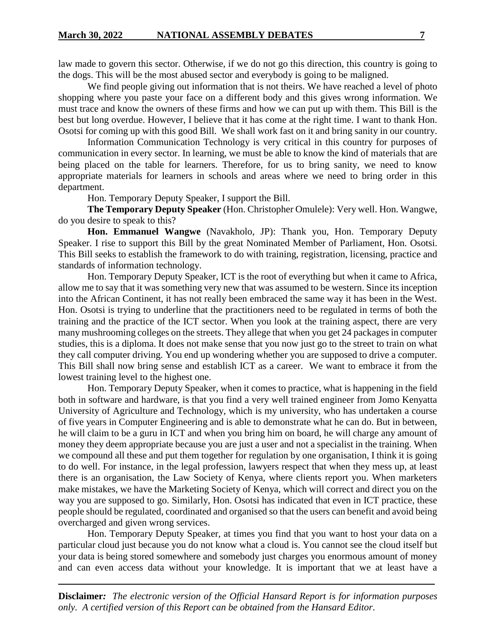law made to govern this sector. Otherwise, if we do not go this direction, this country is going to the dogs. This will be the most abused sector and everybody is going to be maligned.

We find people giving out information that is not theirs. We have reached a level of photo shopping where you paste your face on a different body and this gives wrong information. We must trace and know the owners of these firms and how we can put up with them. This Bill is the best but long overdue. However, I believe that it has come at the right time. I want to thank Hon. Osotsi for coming up with this good Bill. We shall work fast on it and bring sanity in our country.

Information Communication Technology is very critical in this country for purposes of communication in every sector. In learning, we must be able to know the kind of materials that are being placed on the table for learners. Therefore, for us to bring sanity, we need to know appropriate materials for learners in schools and areas where we need to bring order in this department.

Hon. Temporary Deputy Speaker, I support the Bill.

**The Temporary Deputy Speaker** (Hon. Christopher Omulele): Very well. Hon. Wangwe, do you desire to speak to this?

**Hon. Emmanuel Wangwe** (Navakholo, JP): Thank you, Hon. Temporary Deputy Speaker. I rise to support this Bill by the great Nominated Member of Parliament, Hon. Osotsi. This Bill seeks to establish the framework to do with training, registration, licensing, practice and standards of information technology.

Hon. Temporary Deputy Speaker, ICT is the root of everything but when it came to Africa, allow me to say that it was something very new that was assumed to be western. Since its inception into the African Continent, it has not really been embraced the same way it has been in the West. Hon. Osotsi is trying to underline that the practitioners need to be regulated in terms of both the training and the practice of the ICT sector. When you look at the training aspect, there are very many mushrooming colleges on the streets. They allege that when you get 24 packages in computer studies, this is a diploma. It does not make sense that you now just go to the street to train on what they call computer driving. You end up wondering whether you are supposed to drive a computer. This Bill shall now bring sense and establish ICT as a career. We want to embrace it from the lowest training level to the highest one.

Hon. Temporary Deputy Speaker, when it comes to practice, what is happening in the field both in software and hardware, is that you find a very well trained engineer from Jomo Kenyatta University of Agriculture and Technology, which is my university, who has undertaken a course of five years in Computer Engineering and is able to demonstrate what he can do. But in between, he will claim to be a guru in ICT and when you bring him on board, he will charge any amount of money they deem appropriate because you are just a user and not a specialist in the training. When we compound all these and put them together for regulation by one organisation, I think it is going to do well. For instance, in the legal profession, lawyers respect that when they mess up, at least there is an organisation, the Law Society of Kenya, where clients report you. When marketers make mistakes, we have the Marketing Society of Kenya, which will correct and direct you on the way you are supposed to go. Similarly, Hon. Osotsi has indicated that even in ICT practice, these people should be regulated, coordinated and organised so that the users can benefit and avoid being overcharged and given wrong services.

Hon. Temporary Deputy Speaker, at times you find that you want to host your data on a particular cloud just because you do not know what a cloud is. You cannot see the cloud itself but your data is being stored somewhere and somebody just charges you enormous amount of money and can even access data without your knowledge. It is important that we at least have a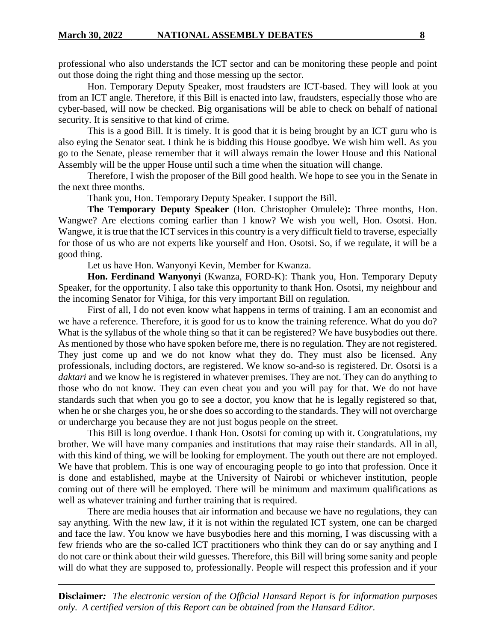professional who also understands the ICT sector and can be monitoring these people and point out those doing the right thing and those messing up the sector.

Hon. Temporary Deputy Speaker, most fraudsters are ICT-based. They will look at you from an ICT angle. Therefore, if this Bill is enacted into law, fraudsters, especially those who are cyber-based, will now be checked. Big organisations will be able to check on behalf of national security. It is sensitive to that kind of crime.

This is a good Bill. It is timely. It is good that it is being brought by an ICT guru who is also eying the Senator seat. I think he is bidding this House goodbye. We wish him well. As you go to the Senate, please remember that it will always remain the lower House and this National Assembly will be the upper House until such a time when the situation will change.

Therefore, I wish the proposer of the Bill good health. We hope to see you in the Senate in the next three months.

Thank you, Hon. Temporary Deputy Speaker. I support the Bill.

**The Temporary Deputy Speaker** (Hon. Christopher Omulele)**:** Three months, Hon. Wangwe? Are elections coming earlier than I know? We wish you well, Hon. Osotsi. Hon. Wangwe, it is true that the ICT services in this country is a very difficult field to traverse, especially for those of us who are not experts like yourself and Hon. Osotsi. So, if we regulate, it will be a good thing.

Let us have Hon. Wanyonyi Kevin, Member for Kwanza.

**Hon. Ferdinand Wanyonyi** (Kwanza, FORD-K): Thank you, Hon. Temporary Deputy Speaker, for the opportunity. I also take this opportunity to thank Hon. Osotsi, my neighbour and the incoming Senator for Vihiga, for this very important Bill on regulation.

First of all, I do not even know what happens in terms of training. I am an economist and we have a reference. Therefore, it is good for us to know the training reference. What do you do? What is the syllabus of the whole thing so that it can be registered? We have busybodies out there. As mentioned by those who have spoken before me, there is no regulation. They are not registered. They just come up and we do not know what they do. They must also be licensed. Any professionals, including doctors, are registered. We know so-and-so is registered. Dr. Osotsi is a *daktari* and we know he is registered in whatever premises. They are not. They can do anything to those who do not know. They can even cheat you and you will pay for that. We do not have standards such that when you go to see a doctor, you know that he is legally registered so that, when he or she charges you, he or she does so according to the standards. They will not overcharge or undercharge you because they are not just bogus people on the street.

This Bill is long overdue. I thank Hon. Osotsi for coming up with it. Congratulations, my brother. We will have many companies and institutions that may raise their standards. All in all, with this kind of thing, we will be looking for employment. The youth out there are not employed. We have that problem. This is one way of encouraging people to go into that profession. Once it is done and established, maybe at the University of Nairobi or whichever institution, people coming out of there will be employed. There will be minimum and maximum qualifications as well as whatever training and further training that is required.

There are media houses that air information and because we have no regulations, they can say anything. With the new law, if it is not within the regulated ICT system, one can be charged and face the law. You know we have busybodies here and this morning, I was discussing with a few friends who are the so-called ICT practitioners who think they can do or say anything and I do not care or think about their wild guesses. Therefore, this Bill will bring some sanity and people will do what they are supposed to, professionally. People will respect this profession and if your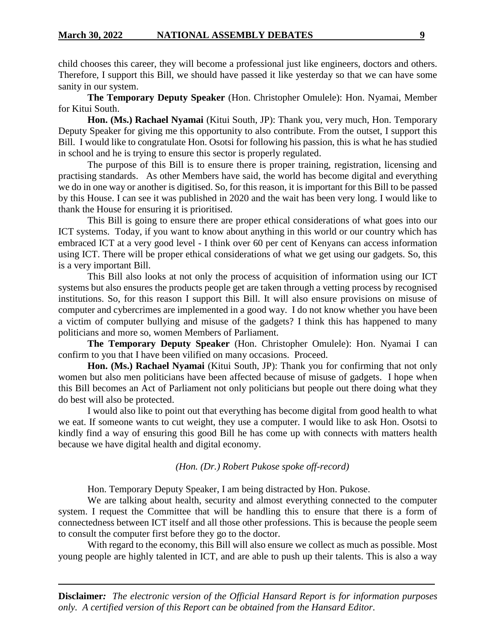child chooses this career, they will become a professional just like engineers, doctors and others. Therefore, I support this Bill, we should have passed it like yesterday so that we can have some sanity in our system.

**The Temporary Deputy Speaker** (Hon. Christopher Omulele): Hon. Nyamai, Member for Kitui South.

**Hon. (Ms.) Rachael Nyamai** (Kitui South, JP): Thank you, very much, Hon. Temporary Deputy Speaker for giving me this opportunity to also contribute. From the outset, I support this Bill. I would like to congratulate Hon. Osotsi for following his passion, this is what he has studied in school and he is trying to ensure this sector is properly regulated.

The purpose of this Bill is to ensure there is proper training, registration, licensing and practising standards. As other Members have said, the world has become digital and everything we do in one way or another is digitised. So, for this reason, it is important for this Bill to be passed by this House. I can see it was published in 2020 and the wait has been very long. I would like to thank the House for ensuring it is prioritised.

This Bill is going to ensure there are proper ethical considerations of what goes into our ICT systems. Today, if you want to know about anything in this world or our country which has embraced ICT at a very good level - I think over 60 per cent of Kenyans can access information using ICT. There will be proper ethical considerations of what we get using our gadgets. So, this is a very important Bill.

This Bill also looks at not only the process of acquisition of information using our ICT systems but also ensures the products people get are taken through a vetting process by recognised institutions. So, for this reason I support this Bill. It will also ensure provisions on misuse of computer and cybercrimes are implemented in a good way. I do not know whether you have been a victim of computer bullying and misuse of the gadgets? I think this has happened to many politicians and more so, women Members of Parliament.

**The Temporary Deputy Speaker** (Hon. Christopher Omulele): Hon. Nyamai I can confirm to you that I have been vilified on many occasions. Proceed.

**Hon. (Ms.) Rachael Nyamai** (Kitui South, JP): Thank you for confirming that not only women but also men politicians have been affected because of misuse of gadgets. I hope when this Bill becomes an Act of Parliament not only politicians but people out there doing what they do best will also be protected.

I would also like to point out that everything has become digital from good health to what we eat. If someone wants to cut weight, they use a computer. I would like to ask Hon. Osotsi to kindly find a way of ensuring this good Bill he has come up with connects with matters health because we have digital health and digital economy.

#### *(Hon. (Dr.) Robert Pukose spoke off-record)*

Hon. Temporary Deputy Speaker, I am being distracted by Hon. Pukose.

We are talking about health, security and almost everything connected to the computer system. I request the Committee that will be handling this to ensure that there is a form of connectedness between ICT itself and all those other professions. This is because the people seem to consult the computer first before they go to the doctor.

With regard to the economy, this Bill will also ensure we collect as much as possible. Most young people are highly talented in ICT, and are able to push up their talents. This is also a way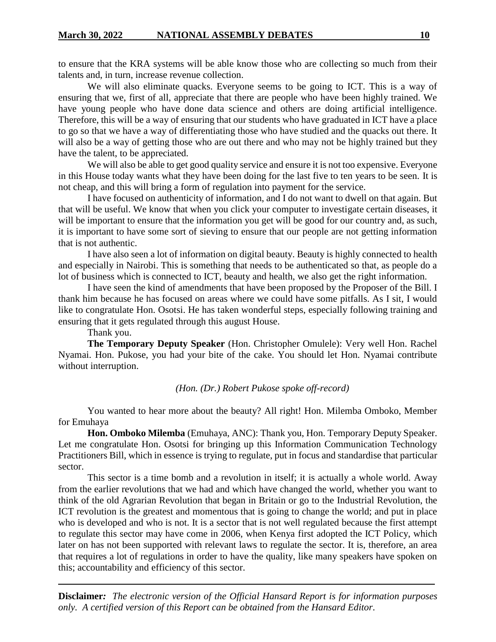to ensure that the KRA systems will be able know those who are collecting so much from their talents and, in turn, increase revenue collection.

We will also eliminate quacks. Everyone seems to be going to ICT. This is a way of ensuring that we, first of all, appreciate that there are people who have been highly trained. We have young people who have done data science and others are doing artificial intelligence. Therefore, this will be a way of ensuring that our students who have graduated in ICT have a place to go so that we have a way of differentiating those who have studied and the quacks out there. It will also be a way of getting those who are out there and who may not be highly trained but they have the talent, to be appreciated.

We will also be able to get good quality service and ensure it is not too expensive. Everyone in this House today wants what they have been doing for the last five to ten years to be seen. It is not cheap, and this will bring a form of regulation into payment for the service.

I have focused on authenticity of information, and I do not want to dwell on that again. But that will be useful. We know that when you click your computer to investigate certain diseases, it will be important to ensure that the information you get will be good for our country and, as such, it is important to have some sort of sieving to ensure that our people are not getting information that is not authentic.

I have also seen a lot of information on digital beauty. Beauty is highly connected to health and especially in Nairobi. This is something that needs to be authenticated so that, as people do a lot of business which is connected to ICT, beauty and health, we also get the right information.

I have seen the kind of amendments that have been proposed by the Proposer of the Bill. I thank him because he has focused on areas where we could have some pitfalls. As I sit, I would like to congratulate Hon. Osotsi. He has taken wonderful steps, especially following training and ensuring that it gets regulated through this august House.

Thank you.

**The Temporary Deputy Speaker** (Hon. Christopher Omulele): Very well Hon. Rachel Nyamai. Hon. Pukose, you had your bite of the cake. You should let Hon. Nyamai contribute without interruption.

*(Hon. (Dr.) Robert Pukose spoke off-record)*

You wanted to hear more about the beauty? All right! Hon. Milemba Omboko, Member for Emuhaya

**Hon. Omboko Milemba** (Emuhaya, ANC): Thank you, Hon. Temporary Deputy Speaker. Let me congratulate Hon. Osotsi for bringing up this Information Communication Technology Practitioners Bill, which in essence is trying to regulate, put in focus and standardise that particular sector.

This sector is a time bomb and a revolution in itself; it is actually a whole world. Away from the earlier revolutions that we had and which have changed the world, whether you want to think of the old Agrarian Revolution that began in Britain or go to the Industrial Revolution, the ICT revolution is the greatest and momentous that is going to change the world; and put in place who is developed and who is not. It is a sector that is not well regulated because the first attempt to regulate this sector may have come in 2006, when Kenya first adopted the ICT Policy, which later on has not been supported with relevant laws to regulate the sector. It is, therefore, an area that requires a lot of regulations in order to have the quality, like many speakers have spoken on this; accountability and efficiency of this sector.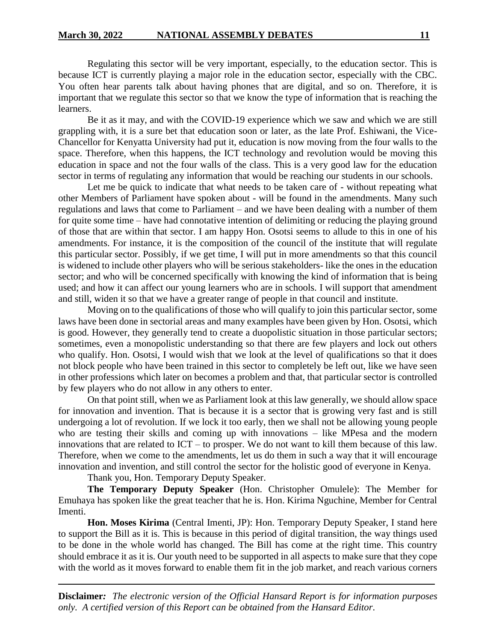Regulating this sector will be very important, especially, to the education sector. This is because ICT is currently playing a major role in the education sector, especially with the CBC. You often hear parents talk about having phones that are digital, and so on. Therefore, it is important that we regulate this sector so that we know the type of information that is reaching the learners.

Be it as it may, and with the COVID-19 experience which we saw and which we are still grappling with, it is a sure bet that education soon or later, as the late Prof. Eshiwani, the Vice-Chancellor for Kenyatta University had put it, education is now moving from the four walls to the space. Therefore, when this happens, the ICT technology and revolution would be moving this education in space and not the four walls of the class. This is a very good law for the education sector in terms of regulating any information that would be reaching our students in our schools.

Let me be quick to indicate that what needs to be taken care of - without repeating what other Members of Parliament have spoken about - will be found in the amendments. Many such regulations and laws that come to Parliament – and we have been dealing with a number of them for quite some time – have had connotative intention of delimiting or reducing the playing ground of those that are within that sector. I am happy Hon. Osotsi seems to allude to this in one of his amendments. For instance, it is the composition of the council of the institute that will regulate this particular sector. Possibly, if we get time, I will put in more amendments so that this council is widened to include other players who will be serious stakeholders- like the ones in the education sector; and who will be concerned specifically with knowing the kind of information that is being used; and how it can affect our young learners who are in schools. I will support that amendment and still, widen it so that we have a greater range of people in that council and institute.

Moving on to the qualifications of those who will qualify to join this particular sector, some laws have been done in sectorial areas and many examples have been given by Hon. Osotsi, which is good. However, they generally tend to create a duopolistic situation in those particular sectors; sometimes, even a monopolistic understanding so that there are few players and lock out others who qualify. Hon. Osotsi, I would wish that we look at the level of qualifications so that it does not block people who have been trained in this sector to completely be left out, like we have seen in other professions which later on becomes a problem and that, that particular sector is controlled by few players who do not allow in any others to enter.

On that point still, when we as Parliament look at this law generally, we should allow space for innovation and invention. That is because it is a sector that is growing very fast and is still undergoing a lot of revolution. If we lock it too early, then we shall not be allowing young people who are testing their skills and coming up with innovations – like MPesa and the modern innovations that are related to ICT – to prosper. We do not want to kill them because of this law. Therefore, when we come to the amendments, let us do them in such a way that it will encourage innovation and invention, and still control the sector for the holistic good of everyone in Kenya.

Thank you, Hon. Temporary Deputy Speaker.

**The Temporary Deputy Speaker** (Hon. Christopher Omulele): The Member for Emuhaya has spoken like the great teacher that he is. Hon. Kirima Nguchine, Member for Central Imenti.

**Hon. Moses Kirima** (Central Imenti, JP): Hon. Temporary Deputy Speaker, I stand here to support the Bill as it is. This is because in this period of digital transition, the way things used to be done in the whole world has changed. The Bill has come at the right time. This country should embrace it as it is. Our youth need to be supported in all aspects to make sure that they cope with the world as it moves forward to enable them fit in the job market, and reach various corners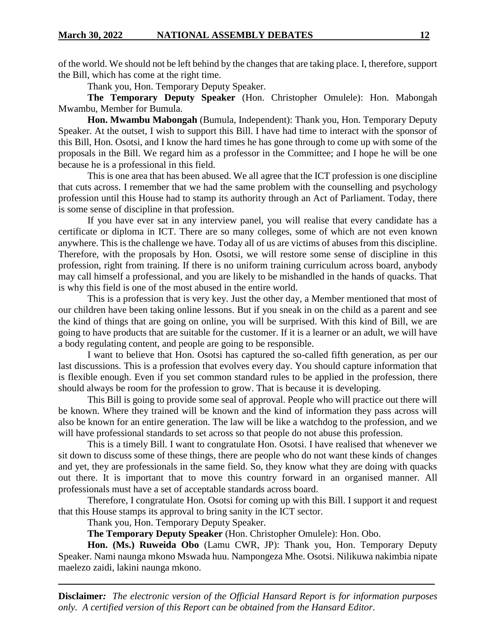of the world. We should not be left behind by the changes that are taking place. I, therefore, support the Bill, which has come at the right time.

Thank you, Hon. Temporary Deputy Speaker.

**The Temporary Deputy Speaker** (Hon. Christopher Omulele): Hon. Mabongah Mwambu, Member for Bumula.

**Hon. Mwambu Mabongah** (Bumula, Independent): Thank you, Hon. Temporary Deputy Speaker. At the outset, I wish to support this Bill. I have had time to interact with the sponsor of this Bill, Hon. Osotsi, and I know the hard times he has gone through to come up with some of the proposals in the Bill. We regard him as a professor in the Committee; and I hope he will be one because he is a professional in this field.

This is one area that has been abused. We all agree that the ICT profession is one discipline that cuts across. I remember that we had the same problem with the counselling and psychology profession until this House had to stamp its authority through an Act of Parliament. Today, there is some sense of discipline in that profession.

If you have ever sat in any interview panel, you will realise that every candidate has a certificate or diploma in ICT. There are so many colleges, some of which are not even known anywhere. This is the challenge we have. Today all of us are victims of abuses from this discipline. Therefore, with the proposals by Hon. Osotsi, we will restore some sense of discipline in this profession, right from training. If there is no uniform training curriculum across board, anybody may call himself a professional, and you are likely to be mishandled in the hands of quacks. That is why this field is one of the most abused in the entire world.

This is a profession that is very key. Just the other day, a Member mentioned that most of our children have been taking online lessons. But if you sneak in on the child as a parent and see the kind of things that are going on online, you will be surprised. With this kind of Bill, we are going to have products that are suitable for the customer. If it is a learner or an adult, we will have a body regulating content, and people are going to be responsible.

I want to believe that Hon. Osotsi has captured the so-called fifth generation, as per our last discussions. This is a profession that evolves every day. You should capture information that is flexible enough. Even if you set common standard rules to be applied in the profession, there should always be room for the profession to grow. That is because it is developing.

This Bill is going to provide some seal of approval. People who will practice out there will be known. Where they trained will be known and the kind of information they pass across will also be known for an entire generation. The law will be like a watchdog to the profession, and we will have professional standards to set across so that people do not abuse this profession.

This is a timely Bill. I want to congratulate Hon. Osotsi. I have realised that whenever we sit down to discuss some of these things, there are people who do not want these kinds of changes and yet, they are professionals in the same field. So, they know what they are doing with quacks out there. It is important that to move this country forward in an organised manner. All professionals must have a set of acceptable standards across board.

Therefore, I congratulate Hon. Osotsi for coming up with this Bill. I support it and request that this House stamps its approval to bring sanity in the ICT sector.

Thank you, Hon. Temporary Deputy Speaker.

**The Temporary Deputy Speaker** (Hon. Christopher Omulele): Hon. Obo.

**Hon. (Ms.) Ruweida Obo** (Lamu CWR, JP): Thank you, Hon. Temporary Deputy Speaker. Nami naunga mkono Mswada huu. Nampongeza Mhe. Osotsi. Nilikuwa nakimbia nipate maelezo zaidi, lakini naunga mkono.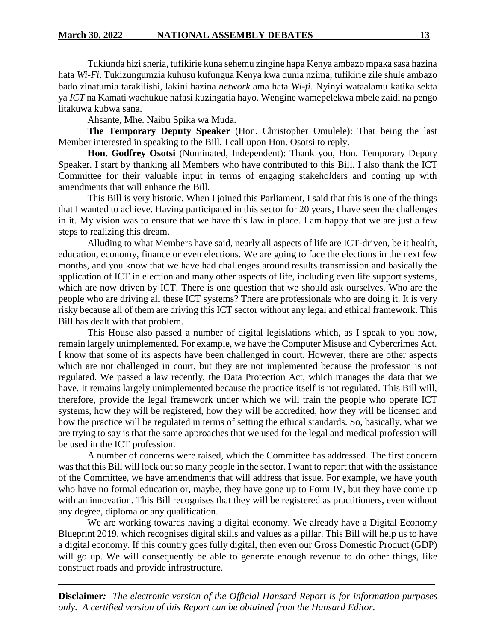Tukiunda hizi sheria, tufikirie kuna sehemu zingine hapa Kenya ambazo mpaka sasa hazina hata *Wi-Fi*. Tukizungumzia kuhusu kufungua Kenya kwa dunia nzima, tufikirie zile shule ambazo bado zinatumia tarakilishi, lakini hazina *network* ama hata *Wi-fi*. Nyinyi wataalamu katika sekta ya *ICT* na Kamati wachukue nafasi kuzingatia hayo. Wengine wamepelekwa mbele zaidi na pengo litakuwa kubwa sana.

Ahsante, Mhe. Naibu Spika wa Muda.

**The Temporary Deputy Speaker** (Hon. Christopher Omulele): That being the last Member interested in speaking to the Bill, I call upon Hon. Osotsi to reply.

**Hon. Godfrey Osotsi** (Nominated, Independent): Thank you, Hon. Temporary Deputy Speaker. I start by thanking all Members who have contributed to this Bill. I also thank the ICT Committee for their valuable input in terms of engaging stakeholders and coming up with amendments that will enhance the Bill.

This Bill is very historic. When I joined this Parliament, I said that this is one of the things that I wanted to achieve. Having participated in this sector for 20 years, I have seen the challenges in it. My vision was to ensure that we have this law in place. I am happy that we are just a few steps to realizing this dream.

Alluding to what Members have said, nearly all aspects of life are ICT-driven, be it health, education, economy, finance or even elections. We are going to face the elections in the next few months, and you know that we have had challenges around results transmission and basically the application of ICT in election and many other aspects of life, including even life support systems, which are now driven by ICT. There is one question that we should ask ourselves. Who are the people who are driving all these ICT systems? There are professionals who are doing it. It is very risky because all of them are driving this ICT sector without any legal and ethical framework. This Bill has dealt with that problem.

This House also passed a number of digital legislations which, as I speak to you now, remain largely unimplemented. For example, we have the Computer Misuse and Cybercrimes Act. I know that some of its aspects have been challenged in court. However, there are other aspects which are not challenged in court, but they are not implemented because the profession is not regulated. We passed a law recently, the Data Protection Act, which manages the data that we have. It remains largely unimplemented because the practice itself is not regulated. This Bill will, therefore, provide the legal framework under which we will train the people who operate ICT systems, how they will be registered, how they will be accredited, how they will be licensed and how the practice will be regulated in terms of setting the ethical standards. So, basically, what we are trying to say is that the same approaches that we used for the legal and medical profession will be used in the ICT profession.

A number of concerns were raised, which the Committee has addressed. The first concern was that this Bill will lock out so many people in the sector. I want to report that with the assistance of the Committee, we have amendments that will address that issue. For example, we have youth who have no formal education or, maybe, they have gone up to Form IV, but they have come up with an innovation. This Bill recognises that they will be registered as practitioners, even without any degree, diploma or any qualification.

We are working towards having a digital economy. We already have a Digital Economy Blueprint 2019, which recognises digital skills and values as a pillar. This Bill will help us to have a digital economy. If this country goes fully digital, then even our Gross Domestic Product (GDP) will go up. We will consequently be able to generate enough revenue to do other things, like construct roads and provide infrastructure.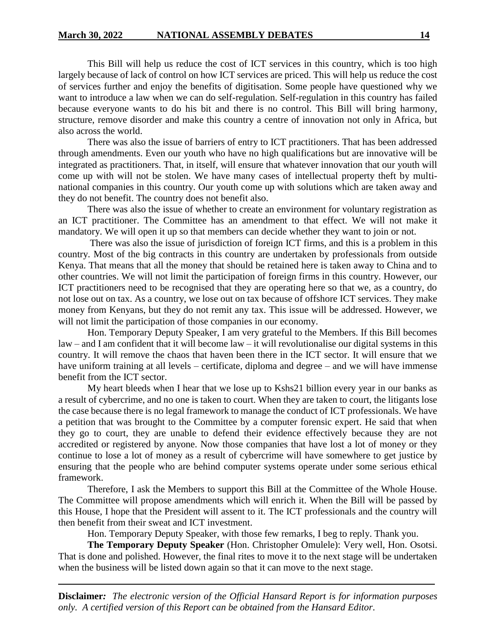This Bill will help us reduce the cost of ICT services in this country, which is too high largely because of lack of control on how ICT services are priced. This will help us reduce the cost of services further and enjoy the benefits of digitisation. Some people have questioned why we want to introduce a law when we can do self-regulation. Self-regulation in this country has failed because everyone wants to do his bit and there is no control. This Bill will bring harmony, structure, remove disorder and make this country a centre of innovation not only in Africa, but also across the world.

There was also the issue of barriers of entry to ICT practitioners. That has been addressed through amendments. Even our youth who have no high qualifications but are innovative will be integrated as practitioners. That, in itself, will ensure that whatever innovation that our youth will come up with will not be stolen. We have many cases of intellectual property theft by multinational companies in this country. Our youth come up with solutions which are taken away and they do not benefit. The country does not benefit also.

There was also the issue of whether to create an environment for voluntary registration as an ICT practitioner. The Committee has an amendment to that effect. We will not make it mandatory. We will open it up so that members can decide whether they want to join or not.

There was also the issue of jurisdiction of foreign ICT firms, and this is a problem in this country. Most of the big contracts in this country are undertaken by professionals from outside Kenya. That means that all the money that should be retained here is taken away to China and to other countries. We will not limit the participation of foreign firms in this country. However, our ICT practitioners need to be recognised that they are operating here so that we, as a country, do not lose out on tax. As a country, we lose out on tax because of offshore ICT services. They make money from Kenyans, but they do not remit any tax. This issue will be addressed. However, we will not limit the participation of those companies in our economy.

Hon. Temporary Deputy Speaker, I am very grateful to the Members. If this Bill becomes law – and I am confident that it will become law – it will revolutionalise our digital systems in this country. It will remove the chaos that haven been there in the ICT sector. It will ensure that we have uniform training at all levels – certificate, diploma and degree – and we will have immense benefit from the ICT sector.

My heart bleeds when I hear that we lose up to Kshs21 billion every year in our banks as a result of cybercrime, and no one is taken to court. When they are taken to court, the litigants lose the case because there is no legal framework to manage the conduct of ICT professionals. We have a petition that was brought to the Committee by a computer forensic expert. He said that when they go to court, they are unable to defend their evidence effectively because they are not accredited or registered by anyone. Now those companies that have lost a lot of money or they continue to lose a lot of money as a result of cybercrime will have somewhere to get justice by ensuring that the people who are behind computer systems operate under some serious ethical framework.

Therefore, I ask the Members to support this Bill at the Committee of the Whole House. The Committee will propose amendments which will enrich it. When the Bill will be passed by this House, I hope that the President will assent to it. The ICT professionals and the country will then benefit from their sweat and ICT investment.

Hon. Temporary Deputy Speaker, with those few remarks, I beg to reply. Thank you.

**The Temporary Deputy Speaker** (Hon. Christopher Omulele): Very well, Hon. Osotsi. That is done and polished. However, the final rites to move it to the next stage will be undertaken when the business will be listed down again so that it can move to the next stage.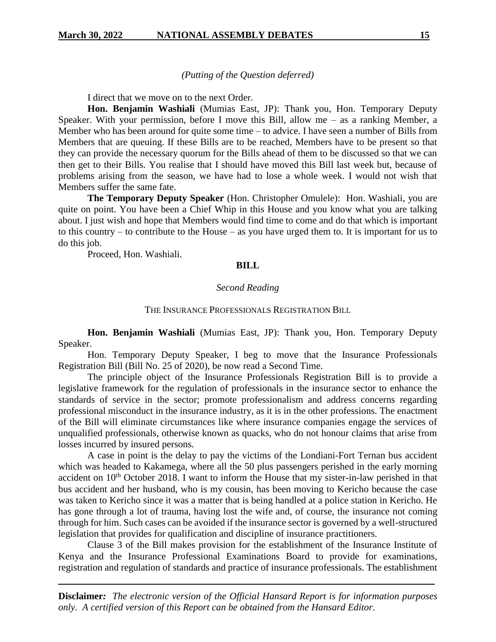*(Putting of the Question deferred)*

I direct that we move on to the next Order.

**Hon. Benjamin Washiali** (Mumias East, JP): Thank you, Hon. Temporary Deputy Speaker. With your permission, before I move this Bill, allow me – as a ranking Member, a Member who has been around for quite some time – to advice. I have seen a number of Bills from Members that are queuing. If these Bills are to be reached, Members have to be present so that they can provide the necessary quorum for the Bills ahead of them to be discussed so that we can then get to their Bills. You realise that I should have moved this Bill last week but, because of problems arising from the season, we have had to lose a whole week. I would not wish that Members suffer the same fate.

**The Temporary Deputy Speaker** (Hon. Christopher Omulele): Hon. Washiali, you are quite on point. You have been a Chief Whip in this House and you know what you are talking about. I just wish and hope that Members would find time to come and do that which is important to this country – to contribute to the House – as you have urged them to. It is important for us to do this job.

Proceed, Hon. Washiali.

#### **BILL**

#### *Second Reading*

#### THE INSURANCE PROFESSIONALS REGISTRATION BILL

**Hon. Benjamin Washiali** (Mumias East, JP): Thank you, Hon. Temporary Deputy Speaker.

Hon. Temporary Deputy Speaker, I beg to move that the Insurance Professionals Registration Bill (Bill No. 25 of 2020), be now read a Second Time.

The principle object of the Insurance Professionals Registration Bill is to provide a legislative framework for the regulation of professionals in the insurance sector to enhance the standards of service in the sector; promote professionalism and address concerns regarding professional misconduct in the insurance industry, as it is in the other professions. The enactment of the Bill will eliminate circumstances like where insurance companies engage the services of unqualified professionals, otherwise known as quacks, who do not honour claims that arise from losses incurred by insured persons.

A case in point is the delay to pay the victims of the Londiani-Fort Ternan bus accident which was headed to Kakamega, where all the 50 plus passengers perished in the early morning accident on  $10<sup>th</sup>$  October 2018. I want to inform the House that my sister-in-law perished in that bus accident and her husband, who is my cousin, has been moving to Kericho because the case was taken to Kericho since it was a matter that is being handled at a police station in Kericho. He has gone through a lot of trauma, having lost the wife and, of course, the insurance not coming through for him. Such cases can be avoided if the insurance sector is governed by a well-structured legislation that provides for qualification and discipline of insurance practitioners.

Clause 3 of the Bill makes provision for the establishment of the Insurance Institute of Kenya and the Insurance Professional Examinations Board to provide for examinations, registration and regulation of standards and practice of insurance professionals. The establishment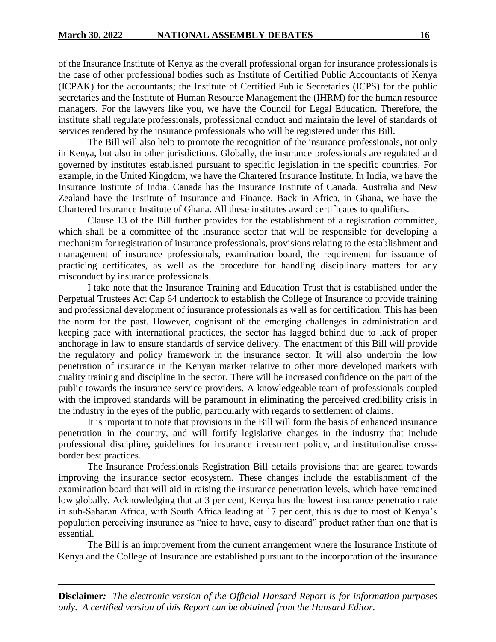of the Insurance Institute of Kenya as the overall professional organ for insurance professionals is the case of other professional bodies such as Institute of Certified Public Accountants of Kenya (ICPAK) for the accountants; the Institute of Certified Public Secretaries (ICPS) for the public secretaries and the Institute of Human Resource Management the (IHRM) for the human resource managers. For the lawyers like you, we have the Council for Legal Education. Therefore, the institute shall regulate professionals, professional conduct and maintain the level of standards of services rendered by the insurance professionals who will be registered under this Bill.

The Bill will also help to promote the recognition of the insurance professionals, not only in Kenya, but also in other jurisdictions. Globally, the insurance professionals are regulated and governed by institutes established pursuant to specific legislation in the specific countries. For example, in the United Kingdom, we have the Chartered Insurance Institute. In India, we have the Insurance Institute of India. Canada has the Insurance Institute of Canada. Australia and New Zealand have the Institute of Insurance and Finance. Back in Africa, in Ghana, we have the Chartered Insurance Institute of Ghana. All these institutes award certificates to qualifiers.

Clause 13 of the Bill further provides for the establishment of a registration committee, which shall be a committee of the insurance sector that will be responsible for developing a mechanism for registration of insurance professionals, provisions relating to the establishment and management of insurance professionals, examination board, the requirement for issuance of practicing certificates, as well as the procedure for handling disciplinary matters for any misconduct by insurance professionals.

I take note that the Insurance Training and Education Trust that is established under the Perpetual Trustees Act Cap 64 undertook to establish the College of Insurance to provide training and professional development of insurance professionals as well as for certification. This has been the norm for the past. However, cognisant of the emerging challenges in administration and keeping pace with international practices, the sector has lagged behind due to lack of proper anchorage in law to ensure standards of service delivery. The enactment of this Bill will provide the regulatory and policy framework in the insurance sector. It will also underpin the low penetration of insurance in the Kenyan market relative to other more developed markets with quality training and discipline in the sector. There will be increased confidence on the part of the public towards the insurance service providers. A knowledgeable team of professionals coupled with the improved standards will be paramount in eliminating the perceived credibility crisis in the industry in the eyes of the public, particularly with regards to settlement of claims.

It is important to note that provisions in the Bill will form the basis of enhanced insurance penetration in the country, and will fortify legislative changes in the industry that include professional discipline, guidelines for insurance investment policy, and institutionalise crossborder best practices.

The Insurance Professionals Registration Bill details provisions that are geared towards improving the insurance sector ecosystem. These changes include the establishment of the examination board that will aid in raising the insurance penetration levels, which have remained low globally. Acknowledging that at 3 per cent, Kenya has the lowest insurance penetration rate in sub-Saharan Africa, with South Africa leading at 17 per cent, this is due to most of Kenya's population perceiving insurance as "nice to have, easy to discard" product rather than one that is essential.

The Bill is an improvement from the current arrangement where the Insurance Institute of Kenya and the College of Insurance are established pursuant to the incorporation of the insurance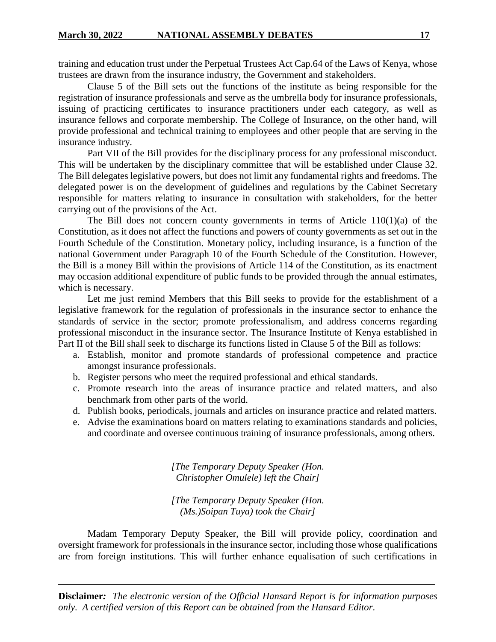training and education trust under the Perpetual Trustees Act Cap.64 of the Laws of Kenya, whose trustees are drawn from the insurance industry, the Government and stakeholders.

Clause 5 of the Bill sets out the functions of the institute as being responsible for the registration of insurance professionals and serve as the umbrella body for insurance professionals, issuing of practicing certificates to insurance practitioners under each category, as well as insurance fellows and corporate membership. The College of Insurance, on the other hand, will provide professional and technical training to employees and other people that are serving in the insurance industry.

Part VII of the Bill provides for the disciplinary process for any professional misconduct. This will be undertaken by the disciplinary committee that will be established under Clause 32. The Bill delegates legislative powers, but does not limit any fundamental rights and freedoms. The delegated power is on the development of guidelines and regulations by the Cabinet Secretary responsible for matters relating to insurance in consultation with stakeholders, for the better carrying out of the provisions of the Act.

The Bill does not concern county governments in terms of Article  $110(1)(a)$  of the Constitution, as it does not affect the functions and powers of county governments as set out in the Fourth Schedule of the Constitution. Monetary policy, including insurance, is a function of the national Government under Paragraph 10 of the Fourth Schedule of the Constitution. However, the Bill is a money Bill within the provisions of Article 114 of the Constitution, as its enactment may occasion additional expenditure of public funds to be provided through the annual estimates, which is necessary.

Let me just remind Members that this Bill seeks to provide for the establishment of a legislative framework for the regulation of professionals in the insurance sector to enhance the standards of service in the sector; promote professionalism, and address concerns regarding professional misconduct in the insurance sector. The Insurance Institute of Kenya established in Part II of the Bill shall seek to discharge its functions listed in Clause 5 of the Bill as follows:

- a. Establish, monitor and promote standards of professional competence and practice amongst insurance professionals.
- b. Register persons who meet the required professional and ethical standards.
- c. Promote research into the areas of insurance practice and related matters, and also benchmark from other parts of the world.
- d. Publish books, periodicals, journals and articles on insurance practice and related matters.
- e. Advise the examinations board on matters relating to examinations standards and policies, and coordinate and oversee continuous training of insurance professionals, among others.

*[The Temporary Deputy Speaker (Hon. Christopher Omulele) left the Chair]*

*[The Temporary Deputy Speaker (Hon. (Ms.)Soipan Tuya) took the Chair]*

Madam Temporary Deputy Speaker, the Bill will provide policy, coordination and oversight framework for professionals in the insurance sector, including those whose qualifications are from foreign institutions. This will further enhance equalisation of such certifications in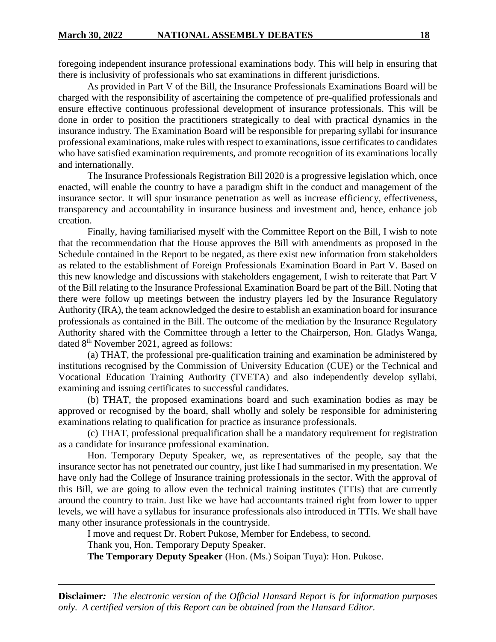foregoing independent insurance professional examinations body. This will help in ensuring that there is inclusivity of professionals who sat examinations in different jurisdictions.

As provided in Part V of the Bill, the Insurance Professionals Examinations Board will be charged with the responsibility of ascertaining the competence of pre-qualified professionals and ensure effective continuous professional development of insurance professionals. This will be done in order to position the practitioners strategically to deal with practical dynamics in the insurance industry. The Examination Board will be responsible for preparing syllabi for insurance professional examinations, make rules with respect to examinations, issue certificates to candidates who have satisfied examination requirements, and promote recognition of its examinations locally and internationally.

The Insurance Professionals Registration Bill 2020 is a progressive legislation which, once enacted, will enable the country to have a paradigm shift in the conduct and management of the insurance sector. It will spur insurance penetration as well as increase efficiency, effectiveness, transparency and accountability in insurance business and investment and, hence, enhance job creation.

Finally, having familiarised myself with the Committee Report on the Bill, I wish to note that the recommendation that the House approves the Bill with amendments as proposed in the Schedule contained in the Report to be negated, as there exist new information from stakeholders as related to the establishment of Foreign Professionals Examination Board in Part V. Based on this new knowledge and discussions with stakeholders engagement, I wish to reiterate that Part V of the Bill relating to the Insurance Professional Examination Board be part of the Bill. Noting that there were follow up meetings between the industry players led by the Insurance Regulatory Authority (IRA), the team acknowledged the desire to establish an examination board for insurance professionals as contained in the Bill. The outcome of the mediation by the Insurance Regulatory Authority shared with the Committee through a letter to the Chairperson, Hon. Gladys Wanga, dated 8<sup>th</sup> November 2021, agreed as follows:

(a) THAT, the professional pre-qualification training and examination be administered by institutions recognised by the Commission of University Education (CUE) or the Technical and Vocational Education Training Authority (TVETA) and also independently develop syllabi, examining and issuing certificates to successful candidates.

(b) THAT, the proposed examinations board and such examination bodies as may be approved or recognised by the board, shall wholly and solely be responsible for administering examinations relating to qualification for practice as insurance professionals.

(c) THAT, professional prequalification shall be a mandatory requirement for registration as a candidate for insurance professional examination.

Hon. Temporary Deputy Speaker, we, as representatives of the people, say that the insurance sector has not penetrated our country, just like I had summarised in my presentation. We have only had the College of Insurance training professionals in the sector. With the approval of this Bill, we are going to allow even the technical training institutes (TTIs) that are currently around the country to train. Just like we have had accountants trained right from lower to upper levels, we will have a syllabus for insurance professionals also introduced in TTIs. We shall have many other insurance professionals in the countryside.

I move and request Dr. Robert Pukose, Member for Endebess, to second.

Thank you, Hon. Temporary Deputy Speaker.

**The Temporary Deputy Speaker** (Hon. (Ms.) Soipan Tuya): Hon. Pukose.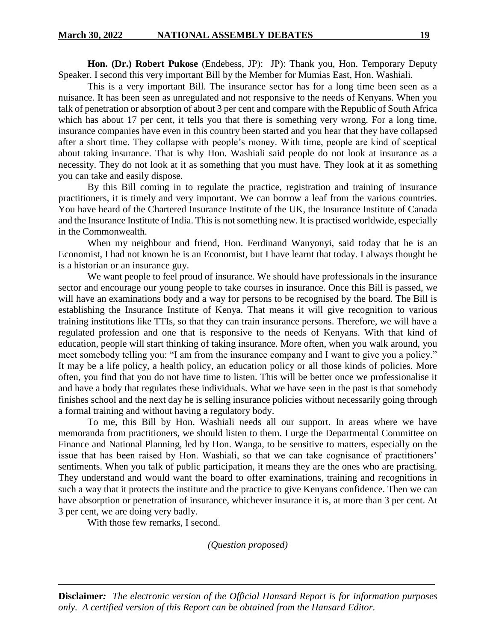**Hon. (Dr.) Robert Pukose** (Endebess, JP): JP): Thank you, Hon. Temporary Deputy Speaker. I second this very important Bill by the Member for Mumias East, Hon. Washiali.

This is a very important Bill. The insurance sector has for a long time been seen as a nuisance. It has been seen as unregulated and not responsive to the needs of Kenyans. When you talk of penetration or absorption of about 3 per cent and compare with the Republic of South Africa which has about 17 per cent, it tells you that there is something very wrong. For a long time, insurance companies have even in this country been started and you hear that they have collapsed after a short time. They collapse with people's money. With time, people are kind of sceptical about taking insurance. That is why Hon. Washiali said people do not look at insurance as a necessity. They do not look at it as something that you must have. They look at it as something you can take and easily dispose.

By this Bill coming in to regulate the practice, registration and training of insurance practitioners, it is timely and very important. We can borrow a leaf from the various countries. You have heard of the Chartered Insurance Institute of the UK, the Insurance Institute of Canada and the Insurance Institute of India. This is not something new. It is practised worldwide, especially in the Commonwealth.

When my neighbour and friend, Hon. Ferdinand Wanyonyi, said today that he is an Economist, I had not known he is an Economist, but I have learnt that today. I always thought he is a historian or an insurance guy.

We want people to feel proud of insurance. We should have professionals in the insurance sector and encourage our young people to take courses in insurance. Once this Bill is passed, we will have an examinations body and a way for persons to be recognised by the board. The Bill is establishing the Insurance Institute of Kenya. That means it will give recognition to various training institutions like TTIs, so that they can train insurance persons. Therefore, we will have a regulated profession and one that is responsive to the needs of Kenyans. With that kind of education, people will start thinking of taking insurance. More often, when you walk around, you meet somebody telling you: "I am from the insurance company and I want to give you a policy." It may be a life policy, a health policy, an education policy or all those kinds of policies. More often, you find that you do not have time to listen. This will be better once we professionalise it and have a body that regulates these individuals. What we have seen in the past is that somebody finishes school and the next day he is selling insurance policies without necessarily going through a formal training and without having a regulatory body.

To me, this Bill by Hon. Washiali needs all our support. In areas where we have memoranda from practitioners, we should listen to them. I urge the Departmental Committee on Finance and National Planning, led by Hon. Wanga, to be sensitive to matters, especially on the issue that has been raised by Hon. Washiali, so that we can take cognisance of practitioners' sentiments. When you talk of public participation, it means they are the ones who are practising. They understand and would want the board to offer examinations, training and recognitions in such a way that it protects the institute and the practice to give Kenyans confidence. Then we can have absorption or penetration of insurance, whichever insurance it is, at more than 3 per cent. At 3 per cent, we are doing very badly.

With those few remarks, I second.

*(Question proposed)*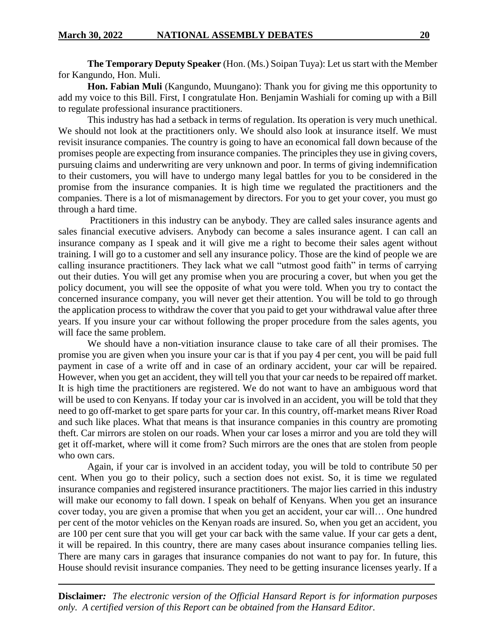**The Temporary Deputy Speaker** (Hon. (Ms.) Soipan Tuya): Let us start with the Member for Kangundo, Hon. Muli.

**Hon. Fabian Muli** (Kangundo, Muungano): Thank you for giving me this opportunity to add my voice to this Bill. First, I congratulate Hon. Benjamin Washiali for coming up with a Bill to regulate professional insurance practitioners.

This industry has had a setback in terms of regulation. Its operation is very much unethical. We should not look at the practitioners only. We should also look at insurance itself. We must revisit insurance companies. The country is going to have an economical fall down because of the promises people are expecting from insurance companies. The principles they use in giving covers, pursuing claims and underwriting are very unknown and poor. In terms of giving indemnification to their customers, you will have to undergo many legal battles for you to be considered in the promise from the insurance companies. It is high time we regulated the practitioners and the companies. There is a lot of mismanagement by directors. For you to get your cover, you must go through a hard time.

Practitioners in this industry can be anybody. They are called sales insurance agents and sales financial executive advisers. Anybody can become a sales insurance agent. I can call an insurance company as I speak and it will give me a right to become their sales agent without training. I will go to a customer and sell any insurance policy. Those are the kind of people we are calling insurance practitioners. They lack what we call "utmost good faith" in terms of carrying out their duties. You will get any promise when you are procuring a cover, but when you get the policy document, you will see the opposite of what you were told. When you try to contact the concerned insurance company, you will never get their attention. You will be told to go through the application process to withdraw the cover that you paid to get your withdrawal value after three years. If you insure your car without following the proper procedure from the sales agents, you will face the same problem.

We should have a non-vitiation insurance clause to take care of all their promises. The promise you are given when you insure your car is that if you pay 4 per cent, you will be paid full payment in case of a write off and in case of an ordinary accident, your car will be repaired. However, when you get an accident, they will tell you that your car needs to be repaired off market. It is high time the practitioners are registered. We do not want to have an ambiguous word that will be used to con Kenyans. If today your car is involved in an accident, you will be told that they need to go off-market to get spare parts for your car. In this country, off-market means River Road and such like places. What that means is that insurance companies in this country are promoting theft. Car mirrors are stolen on our roads. When your car loses a mirror and you are told they will get it off-market, where will it come from? Such mirrors are the ones that are stolen from people who own cars.

Again, if your car is involved in an accident today, you will be told to contribute 50 per cent. When you go to their policy, such a section does not exist. So, it is time we regulated insurance companies and registered insurance practitioners. The major lies carried in this industry will make our economy to fall down. I speak on behalf of Kenyans. When you get an insurance cover today, you are given a promise that when you get an accident, your car will… One hundred per cent of the motor vehicles on the Kenyan roads are insured. So, when you get an accident, you are 100 per cent sure that you will get your car back with the same value. If your car gets a dent, it will be repaired. In this country, there are many cases about insurance companies telling lies. There are many cars in garages that insurance companies do not want to pay for. In future, this House should revisit insurance companies. They need to be getting insurance licenses yearly. If a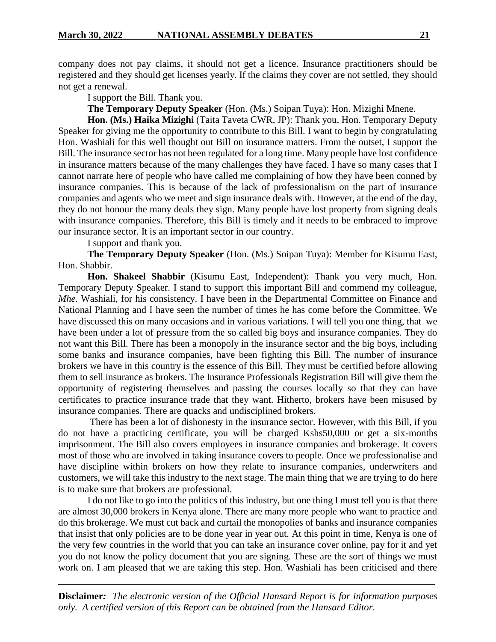company does not pay claims, it should not get a licence. Insurance practitioners should be registered and they should get licenses yearly. If the claims they cover are not settled, they should not get a renewal.

I support the Bill. Thank you.

**The Temporary Deputy Speaker** (Hon. (Ms.) Soipan Tuya): Hon. Mizighi Mnene.

**Hon. (Ms.) Haika Mizighi** (Taita Taveta CWR, JP): Thank you, Hon. Temporary Deputy Speaker for giving me the opportunity to contribute to this Bill. I want to begin by congratulating Hon. Washiali for this well thought out Bill on insurance matters. From the outset, I support the Bill. The insurance sector has not been regulated for a long time. Many people have lost confidence in insurance matters because of the many challenges they have faced. I have so many cases that I cannot narrate here of people who have called me complaining of how they have been conned by insurance companies. This is because of the lack of professionalism on the part of insurance companies and agents who we meet and sign insurance deals with. However, at the end of the day, they do not honour the many deals they sign. Many people have lost property from signing deals with insurance companies. Therefore, this Bill is timely and it needs to be embraced to improve our insurance sector. It is an important sector in our country.

I support and thank you.

**The Temporary Deputy Speaker** (Hon. (Ms.) Soipan Tuya): Member for Kisumu East, Hon. Shabbir.

**Hon. Shakeel Shabbir** (Kisumu East, Independent): Thank you very much, Hon. Temporary Deputy Speaker. I stand to support this important Bill and commend my colleague, *Mhe.* Washiali, for his consistency. I have been in the Departmental Committee on Finance and National Planning and I have seen the number of times he has come before the Committee. We have discussed this on many occasions and in various variations. I will tell you one thing, that we have been under a lot of pressure from the so called big boys and insurance companies. They do not want this Bill. There has been a monopoly in the insurance sector and the big boys, including some banks and insurance companies, have been fighting this Bill. The number of insurance brokers we have in this country is the essence of this Bill. They must be certified before allowing them to sell insurance as brokers. The Insurance Professionals Registration Bill will give them the opportunity of registering themselves and passing the courses locally so that they can have certificates to practice insurance trade that they want. Hitherto, brokers have been misused by insurance companies. There are quacks and undisciplined brokers.

There has been a lot of dishonesty in the insurance sector. However, with this Bill, if you do not have a practicing certificate, you will be charged Kshs50,000 or get a six-months imprisonment. The Bill also covers employees in insurance companies and brokerage. It covers most of those who are involved in taking insurance covers to people. Once we professionalise and have discipline within brokers on how they relate to insurance companies, underwriters and customers, we will take this industry to the next stage. The main thing that we are trying to do here is to make sure that brokers are professional.

I do not like to go into the politics of this industry, but one thing I must tell you is that there are almost 30,000 brokers in Kenya alone. There are many more people who want to practice and do this brokerage. We must cut back and curtail the monopolies of banks and insurance companies that insist that only policies are to be done year in year out. At this point in time, Kenya is one of the very few countries in the world that you can take an insurance cover online, pay for it and yet you do not know the policy document that you are signing. These are the sort of things we must work on. I am pleased that we are taking this step. Hon. Washiali has been criticised and there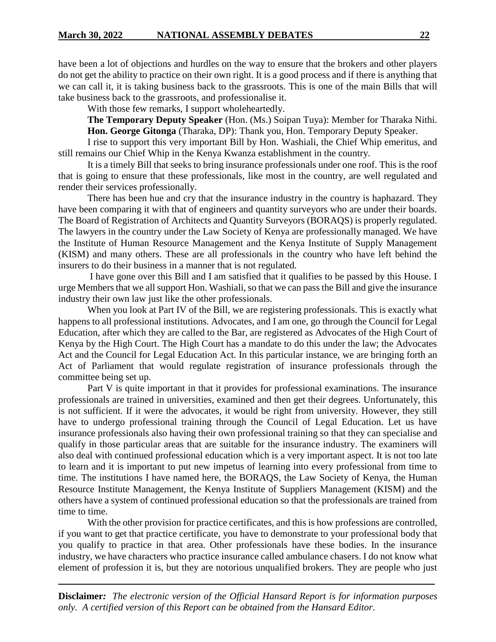have been a lot of objections and hurdles on the way to ensure that the brokers and other players do not get the ability to practice on their own right. It is a good process and if there is anything that we can call it, it is taking business back to the grassroots. This is one of the main Bills that will take business back to the grassroots, and professionalise it.

With those few remarks, I support wholeheartedly.

**The Temporary Deputy Speaker** (Hon. (Ms.) Soipan Tuya): Member for Tharaka Nithi. **Hon. George Gitonga** (Tharaka, DP): Thank you, Hon. Temporary Deputy Speaker.

I rise to support this very important Bill by Hon. Washiali, the Chief Whip emeritus, and still remains our Chief Whip in the Kenya Kwanza establishment in the country.

It is a timely Bill that seeks to bring insurance professionals under one roof. This is the roof that is going to ensure that these professionals, like most in the country, are well regulated and render their services professionally.

There has been hue and cry that the insurance industry in the country is haphazard. They have been comparing it with that of engineers and quantity surveyors who are under their boards. The Board of Registration of Architects and Quantity Surveyors (BORAQS) is properly regulated. The lawyers in the country under the Law Society of Kenya are professionally managed. We have the Institute of Human Resource Management and the Kenya Institute of Supply Management (KISM) and many others. These are all professionals in the country who have left behind the insurers to do their business in a manner that is not regulated.

I have gone over this Bill and I am satisfied that it qualifies to be passed by this House. I urge Members that we all support Hon. Washiali, so that we can pass the Bill and give the insurance industry their own law just like the other professionals.

When you look at Part IV of the Bill, we are registering professionals. This is exactly what happens to all professional institutions. Advocates, and I am one, go through the Council for Legal Education, after which they are called to the Bar, are registered as Advocates of the High Court of Kenya by the High Court. The High Court has a mandate to do this under the law; the Advocates Act and the Council for Legal Education Act. In this particular instance, we are bringing forth an Act of Parliament that would regulate registration of insurance professionals through the committee being set up.

Part V is quite important in that it provides for professional examinations. The insurance professionals are trained in universities, examined and then get their degrees. Unfortunately, this is not sufficient. If it were the advocates, it would be right from university. However, they still have to undergo professional training through the Council of Legal Education. Let us have insurance professionals also having their own professional training so that they can specialise and qualify in those particular areas that are suitable for the insurance industry. The examiners will also deal with continued professional education which is a very important aspect. It is not too late to learn and it is important to put new impetus of learning into every professional from time to time. The institutions I have named here, the BORAQS, the Law Society of Kenya, the Human Resource Institute Management, the Kenya Institute of Suppliers Management (KISM) and the others have a system of continued professional education so that the professionals are trained from time to time.

With the other provision for practice certificates, and this is how professions are controlled, if you want to get that practice certificate, you have to demonstrate to your professional body that you qualify to practice in that area. Other professionals have these bodies. In the insurance industry, we have characters who practice insurance called ambulance chasers. I do not know what element of profession it is, but they are notorious unqualified brokers. They are people who just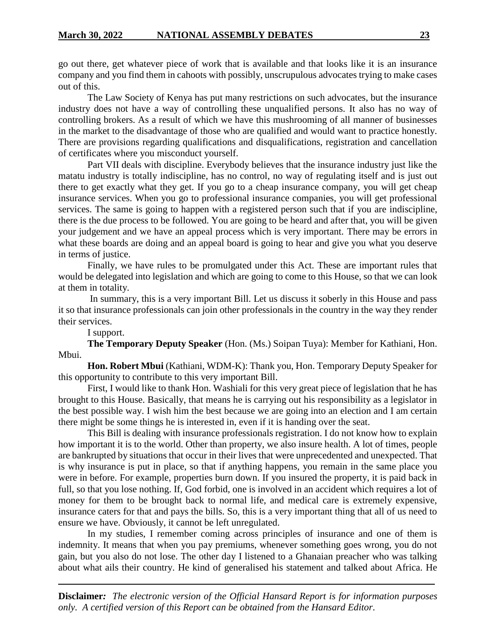go out there, get whatever piece of work that is available and that looks like it is an insurance company and you find them in cahoots with possibly, unscrupulous advocates trying to make cases out of this.

The Law Society of Kenya has put many restrictions on such advocates, but the insurance industry does not have a way of controlling these unqualified persons. It also has no way of controlling brokers. As a result of which we have this mushrooming of all manner of businesses in the market to the disadvantage of those who are qualified and would want to practice honestly. There are provisions regarding qualifications and disqualifications, registration and cancellation of certificates where you misconduct yourself.

Part VII deals with discipline. Everybody believes that the insurance industry just like the matatu industry is totally indiscipline, has no control, no way of regulating itself and is just out there to get exactly what they get. If you go to a cheap insurance company, you will get cheap insurance services. When you go to professional insurance companies, you will get professional services. The same is going to happen with a registered person such that if you are indiscipline, there is the due process to be followed. You are going to be heard and after that, you will be given your judgement and we have an appeal process which is very important. There may be errors in what these boards are doing and an appeal board is going to hear and give you what you deserve in terms of justice.

Finally, we have rules to be promulgated under this Act. These are important rules that would be delegated into legislation and which are going to come to this House, so that we can look at them in totality.

In summary, this is a very important Bill. Let us discuss it soberly in this House and pass it so that insurance professionals can join other professionals in the country in the way they render their services.

I support.

**The Temporary Deputy Speaker** (Hon. (Ms.) Soipan Tuya): Member for Kathiani, Hon. Mbui.

**Hon. Robert Mbui** (Kathiani, WDM-K): Thank you, Hon. Temporary Deputy Speaker for this opportunity to contribute to this very important Bill.

First, I would like to thank Hon. Washiali for this very great piece of legislation that he has brought to this House. Basically, that means he is carrying out his responsibility as a legislator in the best possible way. I wish him the best because we are going into an election and I am certain there might be some things he is interested in, even if it is handing over the seat.

This Bill is dealing with insurance professionals registration. I do not know how to explain how important it is to the world. Other than property, we also insure health. A lot of times, people are bankrupted by situations that occur in their lives that were unprecedented and unexpected. That is why insurance is put in place, so that if anything happens, you remain in the same place you were in before. For example, properties burn down. If you insured the property, it is paid back in full, so that you lose nothing. If, God forbid, one is involved in an accident which requires a lot of money for them to be brought back to normal life, and medical care is extremely expensive, insurance caters for that and pays the bills. So, this is a very important thing that all of us need to ensure we have. Obviously, it cannot be left unregulated.

In my studies, I remember coming across principles of insurance and one of them is indemnity. It means that when you pay premiums, whenever something goes wrong, you do not gain, but you also do not lose. The other day I listened to a Ghanaian preacher who was talking about what ails their country. He kind of generalised his statement and talked about Africa. He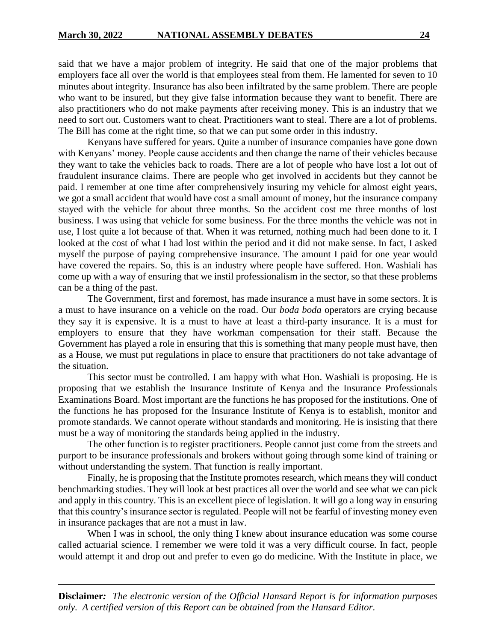said that we have a major problem of integrity. He said that one of the major problems that employers face all over the world is that employees steal from them. He lamented for seven to 10 minutes about integrity. Insurance has also been infiltrated by the same problem. There are people who want to be insured, but they give false information because they want to benefit. There are also practitioners who do not make payments after receiving money. This is an industry that we need to sort out. Customers want to cheat. Practitioners want to steal. There are a lot of problems. The Bill has come at the right time, so that we can put some order in this industry.

Kenyans have suffered for years. Quite a number of insurance companies have gone down with Kenyans' money. People cause accidents and then change the name of their vehicles because they want to take the vehicles back to roads. There are a lot of people who have lost a lot out of fraudulent insurance claims. There are people who get involved in accidents but they cannot be paid. I remember at one time after comprehensively insuring my vehicle for almost eight years, we got a small accident that would have cost a small amount of money, but the insurance company stayed with the vehicle for about three months. So the accident cost me three months of lost business. I was using that vehicle for some business. For the three months the vehicle was not in use, I lost quite a lot because of that. When it was returned, nothing much had been done to it. I looked at the cost of what I had lost within the period and it did not make sense. In fact, I asked myself the purpose of paying comprehensive insurance. The amount I paid for one year would have covered the repairs. So, this is an industry where people have suffered. Hon. Washiali has come up with a way of ensuring that we instil professionalism in the sector, so that these problems can be a thing of the past.

The Government, first and foremost, has made insurance a must have in some sectors. It is a must to have insurance on a vehicle on the road. Our *boda boda* operators are crying because they say it is expensive. It is a must to have at least a third-party insurance. It is a must for employers to ensure that they have workman compensation for their staff. Because the Government has played a role in ensuring that this is something that many people must have, then as a House, we must put regulations in place to ensure that practitioners do not take advantage of the situation.

This sector must be controlled. I am happy with what Hon. Washiali is proposing. He is proposing that we establish the Insurance Institute of Kenya and the Insurance Professionals Examinations Board. Most important are the functions he has proposed for the institutions. One of the functions he has proposed for the Insurance Institute of Kenya is to establish, monitor and promote standards. We cannot operate without standards and monitoring. He is insisting that there must be a way of monitoring the standards being applied in the industry.

The other function is to register practitioners. People cannot just come from the streets and purport to be insurance professionals and brokers without going through some kind of training or without understanding the system. That function is really important.

Finally, he is proposing that the Institute promotes research, which means they will conduct benchmarking studies. They will look at best practices all over the world and see what we can pick and apply in this country. This is an excellent piece of legislation. It will go a long way in ensuring that this country's insurance sector is regulated. People will not be fearful of investing money even in insurance packages that are not a must in law.

When I was in school, the only thing I knew about insurance education was some course called actuarial science. I remember we were told it was a very difficult course. In fact, people would attempt it and drop out and prefer to even go do medicine. With the Institute in place, we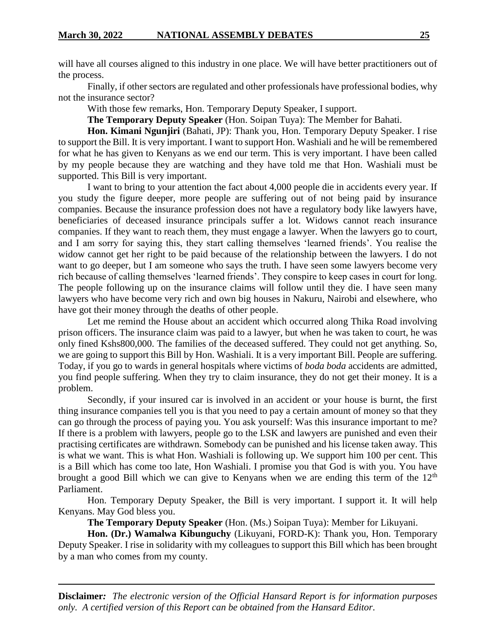will have all courses aligned to this industry in one place. We will have better practitioners out of the process.

Finally, if other sectors are regulated and other professionals have professional bodies, why not the insurance sector?

With those few remarks, Hon. Temporary Deputy Speaker, I support.

**The Temporary Deputy Speaker** (Hon. Soipan Tuya): The Member for Bahati.

**Hon. Kimani Ngunjiri** (Bahati, JP): Thank you, Hon. Temporary Deputy Speaker. I rise to support the Bill. It is very important. I want to support Hon. Washiali and he will be remembered for what he has given to Kenyans as we end our term. This is very important. I have been called by my people because they are watching and they have told me that Hon. Washiali must be supported. This Bill is very important.

I want to bring to your attention the fact about 4,000 people die in accidents every year. If you study the figure deeper, more people are suffering out of not being paid by insurance companies. Because the insurance profession does not have a regulatory body like lawyers have, beneficiaries of deceased insurance principals suffer a lot. Widows cannot reach insurance companies. If they want to reach them, they must engage a lawyer. When the lawyers go to court, and I am sorry for saying this, they start calling themselves 'learned friends'. You realise the widow cannot get her right to be paid because of the relationship between the lawyers. I do not want to go deeper, but I am someone who says the truth. I have seen some lawyers become very rich because of calling themselves 'learned friends'. They conspire to keep cases in court for long. The people following up on the insurance claims will follow until they die. I have seen many lawyers who have become very rich and own big houses in Nakuru, Nairobi and elsewhere, who have got their money through the deaths of other people.

Let me remind the House about an accident which occurred along Thika Road involving prison officers. The insurance claim was paid to a lawyer, but when he was taken to court, he was only fined Kshs800,000. The families of the deceased suffered. They could not get anything. So, we are going to support this Bill by Hon. Washiali. It is a very important Bill. People are suffering. Today, if you go to wards in general hospitals where victims of *boda boda* accidents are admitted, you find people suffering. When they try to claim insurance, they do not get their money. It is a problem.

Secondly, if your insured car is involved in an accident or your house is burnt, the first thing insurance companies tell you is that you need to pay a certain amount of money so that they can go through the process of paying you. You ask yourself: Was this insurance important to me? If there is a problem with lawyers, people go to the LSK and lawyers are punished and even their practising certificates are withdrawn. Somebody can be punished and his license taken away. This is what we want. This is what Hon. Washiali is following up. We support him 100 per cent. This is a Bill which has come too late, Hon Washiali. I promise you that God is with you. You have brought a good Bill which we can give to Kenyans when we are ending this term of the  $12<sup>th</sup>$ Parliament.

Hon. Temporary Deputy Speaker, the Bill is very important. I support it. It will help Kenyans. May God bless you.

**The Temporary Deputy Speaker** (Hon. (Ms.) Soipan Tuya): Member for Likuyani.

**Hon. (Dr.) Wamalwa Kibunguchy** (Likuyani, FORD-K): Thank you, Hon. Temporary Deputy Speaker. I rise in solidarity with my colleagues to support this Bill which has been brought by a man who comes from my county.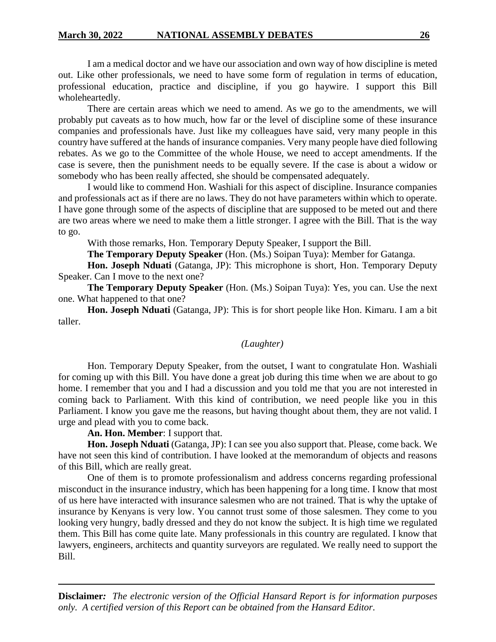I am a medical doctor and we have our association and own way of how discipline is meted out. Like other professionals, we need to have some form of regulation in terms of education, professional education, practice and discipline, if you go haywire. I support this Bill wholeheartedly.

There are certain areas which we need to amend. As we go to the amendments, we will probably put caveats as to how much, how far or the level of discipline some of these insurance companies and professionals have. Just like my colleagues have said, very many people in this country have suffered at the hands of insurance companies. Very many people have died following rebates. As we go to the Committee of the whole House, we need to accept amendments. If the case is severe, then the punishment needs to be equally severe. If the case is about a widow or somebody who has been really affected, she should be compensated adequately.

I would like to commend Hon. Washiali for this aspect of discipline. Insurance companies and professionals act as if there are no laws. They do not have parameters within which to operate. I have gone through some of the aspects of discipline that are supposed to be meted out and there are two areas where we need to make them a little stronger. I agree with the Bill. That is the way to go.

With those remarks, Hon. Temporary Deputy Speaker, I support the Bill.

**The Temporary Deputy Speaker** (Hon. (Ms.) Soipan Tuya): Member for Gatanga.

**Hon. Joseph Nduati** (Gatanga, JP): This microphone is short, Hon. Temporary Deputy Speaker. Can I move to the next one?

**The Temporary Deputy Speaker** (Hon. (Ms.) Soipan Tuya): Yes, you can. Use the next one. What happened to that one?

**Hon. Joseph Nduati** (Gatanga, JP): This is for short people like Hon. Kimaru. I am a bit taller.

# *(Laughter)*

Hon. Temporary Deputy Speaker, from the outset, I want to congratulate Hon. Washiali for coming up with this Bill. You have done a great job during this time when we are about to go home. I remember that you and I had a discussion and you told me that you are not interested in coming back to Parliament. With this kind of contribution, we need people like you in this Parliament. I know you gave me the reasons, but having thought about them, they are not valid. I urge and plead with you to come back.

# **An. Hon. Member**: I support that.

**Hon. Joseph Nduati** (Gatanga, JP): I can see you also support that. Please, come back. We have not seen this kind of contribution. I have looked at the memorandum of objects and reasons of this Bill, which are really great.

One of them is to promote professionalism and address concerns regarding professional misconduct in the insurance industry, which has been happening for a long time. I know that most of us here have interacted with insurance salesmen who are not trained. That is why the uptake of insurance by Kenyans is very low. You cannot trust some of those salesmen. They come to you looking very hungry, badly dressed and they do not know the subject. It is high time we regulated them. This Bill has come quite late. Many professionals in this country are regulated. I know that lawyers, engineers, architects and quantity surveyors are regulated. We really need to support the Bill.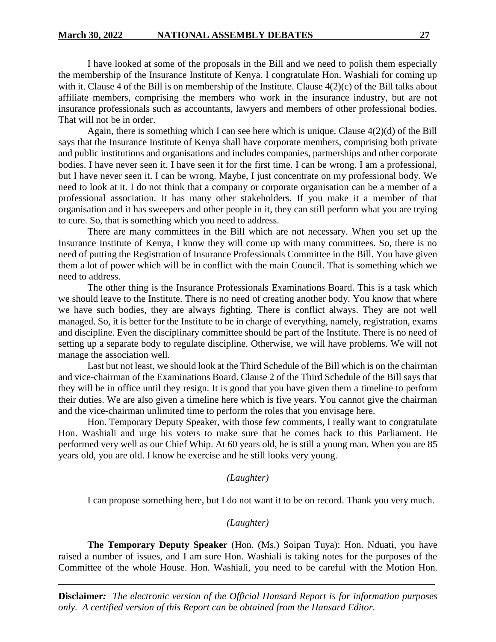I have looked at some of the proposals in the Bill and we need to polish them especially the membership of the Insurance Institute of Kenya. I congratulate Hon. Washiali for coming up with it. Clause 4 of the Bill is on membership of the Institute. Clause  $4(2)(c)$  of the Bill talks about affiliate members, comprising the members who work in the insurance industry, but are not insurance professionals such as accountants, lawyers and members of other professional bodies. That will not be in order.

Again, there is something which I can see here which is unique. Clause  $4(2)(d)$  of the Bill says that the Insurance Institute of Kenya shall have corporate members, comprising both private and public institutions and organisations and includes companies, partnerships and other corporate bodies. I have never seen it. I have seen it for the first time. I can be wrong. I am a professional, but I have never seen it. I can be wrong. Maybe, I just concentrate on my professional body. We need to look at it. I do not think that a company or corporate organisation can be a member of a professional association. It has many other stakeholders. If you make it a member of that organisation and it has sweepers and other people in it, they can still perform what you are trying to cure. So, that is something which you need to address.

There are many committees in the Bill which are not necessary. When you set up the Insurance Institute of Kenya, I know they will come up with many committees. So, there is no need of putting the Registration of Insurance Professionals Committee in the Bill. You have given them a lot of power which will be in conflict with the main Council. That is something which we need to address.

The other thing is the Insurance Professionals Examinations Board. This is a task which we should leave to the Institute. There is no need of creating another body. You know that where we have such bodies, they are always fighting. There is conflict always. They are not well managed. So, it is better for the Institute to be in charge of everything, namely, registration, exams and discipline. Even the disciplinary committee should be part of the Institute. There is no need of setting up a separate body to regulate discipline. Otherwise, we will have problems. We will not manage the association well.

Last but not least, we should look at the Third Schedule of the Bill which is on the chairman and vice-chairman of the Examinations Board. Clause 2 of the Third Schedule of the Bill says that they will be in office until they resign. It is good that you have given them a timeline to perform their duties. We are also given a timeline here which is five years. You cannot give the chairman and the vice-chairman unlimited time to perform the roles that you envisage here.

Hon. Temporary Deputy Speaker, with those few comments, I really want to congratulate Hon. Washiali and urge his voters to make sure that he comes back to this Parliament. He performed very well as our Chief Whip. At 60 years old, he is still a young man. When you are 85 years old, you are old. I know he exercise and he still looks very young.

#### *(Laughter)*

I can propose something here, but I do not want it to be on record. Thank you very much.

## *(Laughter)*

**The Temporary Deputy Speaker** (Hon. (Ms.) Soipan Tuya): Hon. Nduati, you have raised a number of issues, and I am sure Hon. Washiali is taking notes for the purposes of the Committee of the whole House. Hon. Washiali, you need to be careful with the Motion Hon.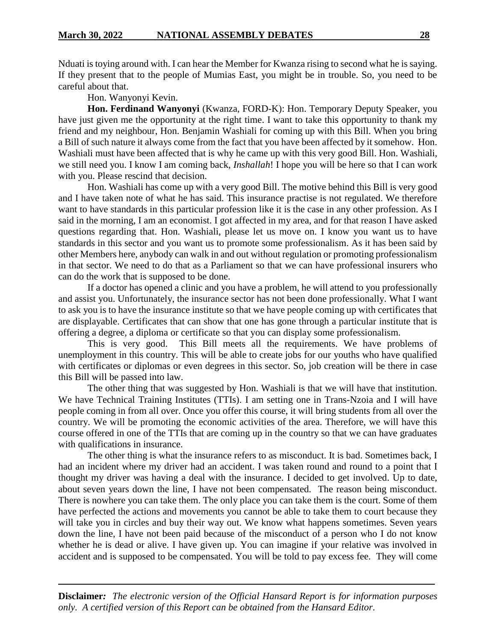Nduati is toying around with. I can hear the Member for Kwanza rising to second what he is saying. If they present that to the people of Mumias East, you might be in trouble. So, you need to be careful about that.

Hon. Wanyonyi Kevin.

**Hon. Ferdinand Wanyonyi** (Kwanza, FORD-K): Hon. Temporary Deputy Speaker, you have just given me the opportunity at the right time. I want to take this opportunity to thank my friend and my neighbour, Hon. Benjamin Washiali for coming up with this Bill. When you bring a Bill of such nature it always come from the fact that you have been affected by it somehow. Hon. Washiali must have been affected that is why he came up with this very good Bill. Hon. Washiali, we still need you. I know I am coming back, *Inshallah*! I hope you will be here so that I can work with you. Please rescind that decision.

Hon. Washiali has come up with a very good Bill. The motive behind this Bill is very good and I have taken note of what he has said. This insurance practise is not regulated. We therefore want to have standards in this particular profession like it is the case in any other profession. As I said in the morning, I am an economist. I got affected in my area, and for that reason I have asked questions regarding that. Hon. Washiali, please let us move on. I know you want us to have standards in this sector and you want us to promote some professionalism. As it has been said by other Members here, anybody can walk in and out without regulation or promoting professionalism in that sector. We need to do that as a Parliament so that we can have professional insurers who can do the work that is supposed to be done.

If a doctor has opened a clinic and you have a problem, he will attend to you professionally and assist you. Unfortunately, the insurance sector has not been done professionally. What I want to ask you is to have the insurance institute so that we have people coming up with certificates that are displayable. Certificates that can show that one has gone through a particular institute that is offering a degree, a diploma or certificate so that you can display some professionalism.

This is very good. This Bill meets all the requirements. We have problems of unemployment in this country. This will be able to create jobs for our youths who have qualified with certificates or diplomas or even degrees in this sector. So, job creation will be there in case this Bill will be passed into law.

The other thing that was suggested by Hon. Washiali is that we will have that institution. We have Technical Training Institutes (TTIs). I am setting one in Trans-Nzoia and I will have people coming in from all over. Once you offer this course, it will bring students from all over the country. We will be promoting the economic activities of the area. Therefore, we will have this course offered in one of the TTIs that are coming up in the country so that we can have graduates with qualifications in insurance.

The other thing is what the insurance refers to as misconduct. It is bad. Sometimes back, I had an incident where my driver had an accident. I was taken round and round to a point that I thought my driver was having a deal with the insurance. I decided to get involved. Up to date, about seven years down the line, I have not been compensated. The reason being misconduct. There is nowhere you can take them. The only place you can take them is the court. Some of them have perfected the actions and movements you cannot be able to take them to court because they will take you in circles and buy their way out. We know what happens sometimes. Seven years down the line, I have not been paid because of the misconduct of a person who I do not know whether he is dead or alive. I have given up. You can imagine if your relative was involved in accident and is supposed to be compensated. You will be told to pay excess fee. They will come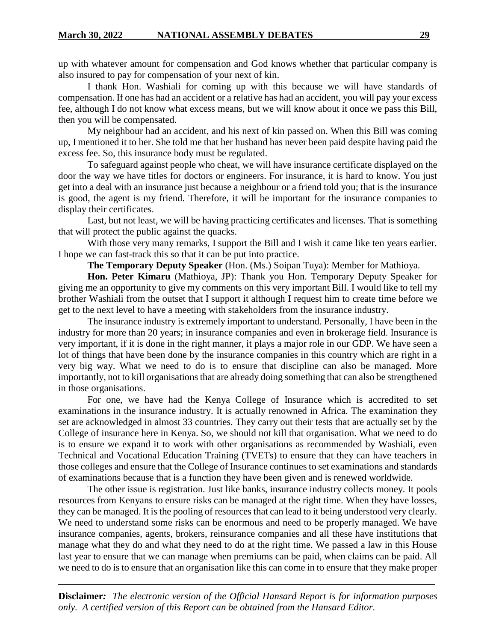up with whatever amount for compensation and God knows whether that particular company is also insured to pay for compensation of your next of kin.

I thank Hon. Washiali for coming up with this because we will have standards of compensation. If one has had an accident or a relative has had an accident, you will pay your excess fee, although I do not know what excess means, but we will know about it once we pass this Bill, then you will be compensated.

My neighbour had an accident, and his next of kin passed on. When this Bill was coming up, I mentioned it to her. She told me that her husband has never been paid despite having paid the excess fee. So, this insurance body must be regulated.

To safeguard against people who cheat, we will have insurance certificate displayed on the door the way we have titles for doctors or engineers. For insurance, it is hard to know. You just get into a deal with an insurance just because a neighbour or a friend told you; that is the insurance is good, the agent is my friend. Therefore, it will be important for the insurance companies to display their certificates.

Last, but not least, we will be having practicing certificates and licenses. That is something that will protect the public against the quacks.

With those very many remarks, I support the Bill and I wish it came like ten years earlier. I hope we can fast-track this so that it can be put into practice.

**The Temporary Deputy Speaker** (Hon. (Ms.) Soipan Tuya): Member for Mathioya.

**Hon. Peter Kimaru** (Mathioya, JP): Thank you Hon. Temporary Deputy Speaker for giving me an opportunity to give my comments on this very important Bill. I would like to tell my brother Washiali from the outset that I support it although I request him to create time before we get to the next level to have a meeting with stakeholders from the insurance industry.

The insurance industry is extremely important to understand. Personally, I have been in the industry for more than 20 years; in insurance companies and even in brokerage field. Insurance is very important, if it is done in the right manner, it plays a major role in our GDP. We have seen a lot of things that have been done by the insurance companies in this country which are right in a very big way. What we need to do is to ensure that discipline can also be managed. More importantly, not to kill organisations that are already doing something that can also be strengthened in those organisations.

For one, we have had the Kenya College of Insurance which is accredited to set examinations in the insurance industry. It is actually renowned in Africa. The examination they set are acknowledged in almost 33 countries. They carry out their tests that are actually set by the College of insurance here in Kenya. So, we should not kill that organisation. What we need to do is to ensure we expand it to work with other organisations as recommended by Washiali, even Technical and Vocational Education Training (TVETs) to ensure that they can have teachers in those colleges and ensure that the College of Insurance continues to set examinations and standards of examinations because that is a function they have been given and is renewed worldwide.

The other issue is registration. Just like banks, insurance industry collects money. It pools resources from Kenyans to ensure risks can be managed at the right time. When they have losses, they can be managed. It is the pooling of resources that can lead to it being understood very clearly. We need to understand some risks can be enormous and need to be properly managed. We have insurance companies, agents, brokers, reinsurance companies and all these have institutions that manage what they do and what they need to do at the right time. We passed a law in this House last year to ensure that we can manage when premiums can be paid, when claims can be paid. All we need to do is to ensure that an organisation like this can come in to ensure that they make proper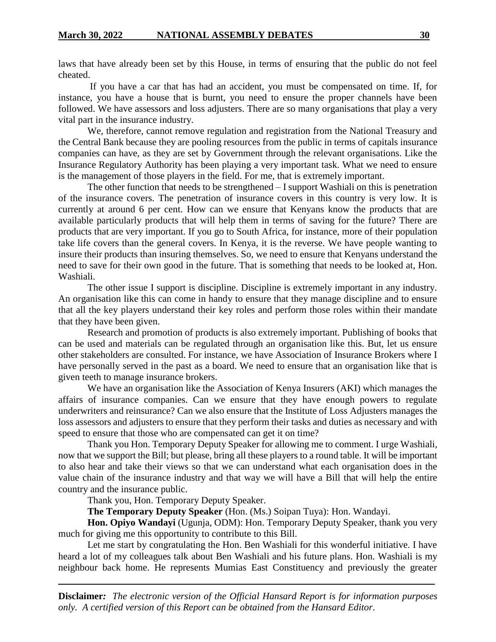laws that have already been set by this House, in terms of ensuring that the public do not feel cheated.

If you have a car that has had an accident, you must be compensated on time. If, for instance, you have a house that is burnt, you need to ensure the proper channels have been followed. We have assessors and loss adjusters. There are so many organisations that play a very vital part in the insurance industry.

We, therefore, cannot remove regulation and registration from the National Treasury and the Central Bank because they are pooling resources from the public in terms of capitals insurance companies can have, as they are set by Government through the relevant organisations. Like the Insurance Regulatory Authority has been playing a very important task. What we need to ensure is the management of those players in the field. For me, that is extremely important.

The other function that needs to be strengthened – I support Washiali on this is penetration of the insurance covers. The penetration of insurance covers in this country is very low. It is currently at around 6 per cent. How can we ensure that Kenyans know the products that are available particularly products that will help them in terms of saving for the future? There are products that are very important. If you go to South Africa, for instance, more of their population take life covers than the general covers. In Kenya, it is the reverse. We have people wanting to insure their products than insuring themselves. So, we need to ensure that Kenyans understand the need to save for their own good in the future. That is something that needs to be looked at, Hon. Washiali.

The other issue I support is discipline. Discipline is extremely important in any industry. An organisation like this can come in handy to ensure that they manage discipline and to ensure that all the key players understand their key roles and perform those roles within their mandate that they have been given.

Research and promotion of products is also extremely important. Publishing of books that can be used and materials can be regulated through an organisation like this. But, let us ensure other stakeholders are consulted. For instance, we have Association of Insurance Brokers where I have personally served in the past as a board. We need to ensure that an organisation like that is given teeth to manage insurance brokers.

We have an organisation like the Association of Kenya Insurers (AKI) which manages the affairs of insurance companies. Can we ensure that they have enough powers to regulate underwriters and reinsurance? Can we also ensure that the Institute of Loss Adjusters manages the loss assessors and adjusters to ensure that they perform their tasks and duties as necessary and with speed to ensure that those who are compensated can get it on time?

Thank you Hon. Temporary Deputy Speaker for allowing me to comment. I urge Washiali, now that we support the Bill; but please, bring all these players to a round table. It will be important to also hear and take their views so that we can understand what each organisation does in the value chain of the insurance industry and that way we will have a Bill that will help the entire country and the insurance public.

Thank you, Hon. Temporary Deputy Speaker.

**The Temporary Deputy Speaker** (Hon. (Ms.) Soipan Tuya): Hon. Wandayi.

**Hon. Opiyo Wandayi** (Ugunja, ODM): Hon. Temporary Deputy Speaker, thank you very much for giving me this opportunity to contribute to this Bill.

Let me start by congratulating the Hon. Ben Washiali for this wonderful initiative. I have heard a lot of my colleagues talk about Ben Washiali and his future plans. Hon. Washiali is my neighbour back home. He represents Mumias East Constituency and previously the greater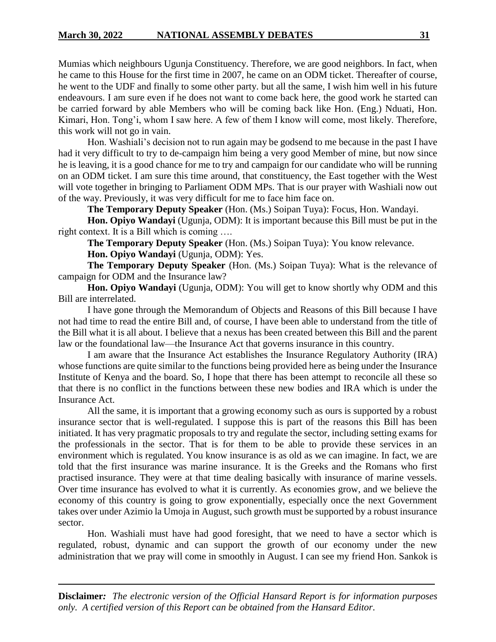Mumias which neighbours Ugunja Constituency. Therefore, we are good neighbors. In fact, when he came to this House for the first time in 2007, he came on an ODM ticket. Thereafter of course, he went to the UDF and finally to some other party. but all the same, I wish him well in his future endeavours. I am sure even if he does not want to come back here, the good work he started can be carried forward by able Members who will be coming back like Hon. (Eng.) Nduati, Hon. Kimari, Hon. Tong'i, whom I saw here. A few of them I know will come, most likely. Therefore, this work will not go in vain.

Hon. Washiali's decision not to run again may be godsend to me because in the past I have had it very difficult to try to de-campaign him being a very good Member of mine, but now since he is leaving, it is a good chance for me to try and campaign for our candidate who will be running on an ODM ticket. I am sure this time around, that constituency, the East together with the West will vote together in bringing to Parliament ODM MPs. That is our prayer with Washiali now out of the way. Previously, it was very difficult for me to face him face on.

**The Temporary Deputy Speaker** (Hon. (Ms.) Soipan Tuya): Focus, Hon. Wandayi.

**Hon. Opiyo Wandayi** (Ugunja, ODM): It is important because this Bill must be put in the right context. It is a Bill which is coming ….

**The Temporary Deputy Speaker** (Hon. (Ms.) Soipan Tuya): You know relevance.

**Hon. Opiyo Wandayi** (Ugunja, ODM): Yes.

**The Temporary Deputy Speaker** (Hon. (Ms.) Soipan Tuya): What is the relevance of campaign for ODM and the Insurance law?

**Hon. Opiyo Wandayi** (Ugunja, ODM): You will get to know shortly why ODM and this Bill are interrelated.

I have gone through the Memorandum of Objects and Reasons of this Bill because I have not had time to read the entire Bill and, of course, I have been able to understand from the title of the Bill what it is all about. I believe that a nexus has been created between this Bill and the parent law or the foundational law—the Insurance Act that governs insurance in this country.

I am aware that the Insurance Act establishes the Insurance Regulatory Authority (IRA) whose functions are quite similar to the functions being provided here as being under the Insurance Institute of Kenya and the board. So, I hope that there has been attempt to reconcile all these so that there is no conflict in the functions between these new bodies and IRA which is under the Insurance Act.

All the same, it is important that a growing economy such as ours is supported by a robust insurance sector that is well-regulated. I suppose this is part of the reasons this Bill has been initiated. It has very pragmatic proposals to try and regulate the sector, including setting exams for the professionals in the sector. That is for them to be able to provide these services in an environment which is regulated. You know insurance is as old as we can imagine. In fact, we are told that the first insurance was marine insurance. It is the Greeks and the Romans who first practised insurance. They were at that time dealing basically with insurance of marine vessels. Over time insurance has evolved to what it is currently. As economies grow, and we believe the economy of this country is going to grow exponentially, especially once the next Government takes over under Azimio la Umoja in August, such growth must be supported by a robust insurance sector.

Hon. Washiali must have had good foresight, that we need to have a sector which is regulated, robust, dynamic and can support the growth of our economy under the new administration that we pray will come in smoothly in August. I can see my friend Hon. Sankok is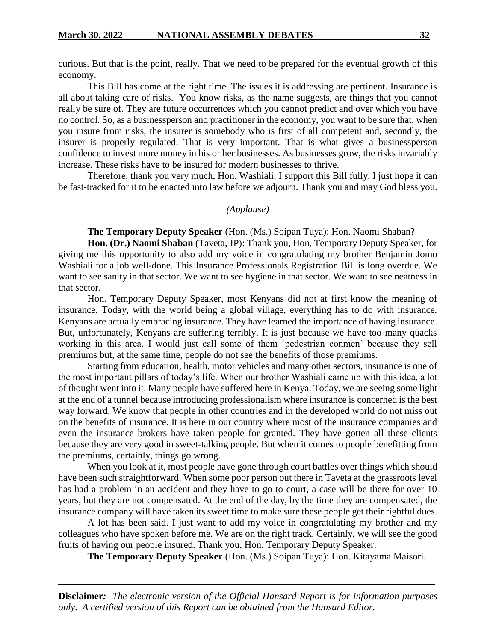curious. But that is the point, really. That we need to be prepared for the eventual growth of this economy.

This Bill has come at the right time. The issues it is addressing are pertinent. Insurance is all about taking care of risks. You know risks, as the name suggests, are things that you cannot really be sure of. They are future occurrences which you cannot predict and over which you have no control. So, as a businessperson and practitioner in the economy, you want to be sure that, when you insure from risks, the insurer is somebody who is first of all competent and, secondly, the insurer is properly regulated. That is very important. That is what gives a businessperson confidence to invest more money in his or her businesses. As businesses grow, the risks invariably increase. These risks have to be insured for modern businesses to thrive.

Therefore, thank you very much, Hon. Washiali. I support this Bill fully. I just hope it can be fast-tracked for it to be enacted into law before we adjourn. Thank you and may God bless you.

#### *(Applause)*

**The Temporary Deputy Speaker** (Hon. (Ms.) Soipan Tuya): Hon. Naomi Shaban?

**Hon. (Dr.) Naomi Shaban** (Taveta, JP): Thank you, Hon. Temporary Deputy Speaker, for giving me this opportunity to also add my voice in congratulating my brother Benjamin Jomo Washiali for a job well-done. This Insurance Professionals Registration Bill is long overdue. We want to see sanity in that sector. We want to see hygiene in that sector. We want to see neatness in that sector.

Hon. Temporary Deputy Speaker, most Kenyans did not at first know the meaning of insurance. Today, with the world being a global village, everything has to do with insurance. Kenyans are actually embracing insurance. They have learned the importance of having insurance. But, unfortunately, Kenyans are suffering terribly. It is just because we have too many quacks working in this area. I would just call some of them 'pedestrian conmen' because they sell premiums but, at the same time, people do not see the benefits of those premiums.

Starting from education, health, motor vehicles and many other sectors, insurance is one of the most important pillars of today's life. When our brother Washiali came up with this idea, a lot of thought went into it. Many people have suffered here in Kenya. Today, we are seeing some light at the end of a tunnel because introducing professionalism where insurance is concerned is the best way forward. We know that people in other countries and in the developed world do not miss out on the benefits of insurance. It is here in our country where most of the insurance companies and even the insurance brokers have taken people for granted. They have gotten all these clients because they are very good in sweet-talking people. But when it comes to people benefitting from the premiums, certainly, things go wrong.

When you look at it, most people have gone through court battles over things which should have been such straightforward. When some poor person out there in Taveta at the grassroots level has had a problem in an accident and they have to go to court, a case will be there for over 10 years, but they are not compensated. At the end of the day, by the time they are compensated, the insurance company will have taken its sweet time to make sure these people get their rightful dues.

A lot has been said. I just want to add my voice in congratulating my brother and my colleagues who have spoken before me. We are on the right track. Certainly, we will see the good fruits of having our people insured. Thank you, Hon. Temporary Deputy Speaker.

**The Temporary Deputy Speaker** (Hon. (Ms.) Soipan Tuya): Hon. Kitayama Maisori.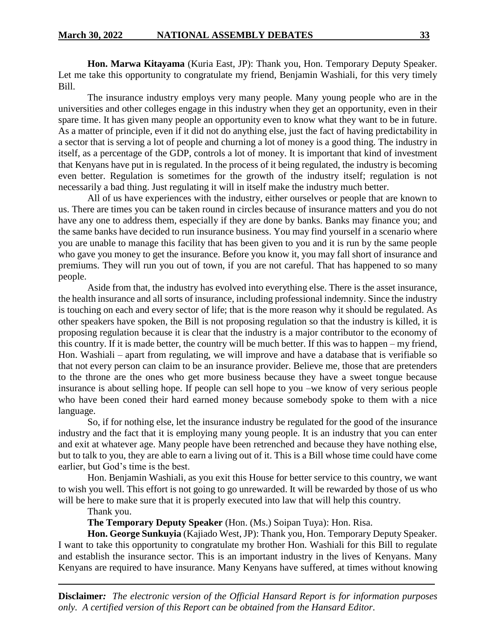**Hon. Marwa Kitayama** (Kuria East, JP): Thank you, Hon. Temporary Deputy Speaker. Let me take this opportunity to congratulate my friend, Benjamin Washiali, for this very timely Bill.

The insurance industry employs very many people. Many young people who are in the universities and other colleges engage in this industry when they get an opportunity, even in their spare time. It has given many people an opportunity even to know what they want to be in future. As a matter of principle, even if it did not do anything else, just the fact of having predictability in a sector that is serving a lot of people and churning a lot of money is a good thing. The industry in itself, as a percentage of the GDP, controls a lot of money. It is important that kind of investment that Kenyans have put in is regulated. In the process of it being regulated, the industry is becoming even better. Regulation is sometimes for the growth of the industry itself; regulation is not necessarily a bad thing. Just regulating it will in itself make the industry much better.

All of us have experiences with the industry, either ourselves or people that are known to us. There are times you can be taken round in circles because of insurance matters and you do not have any one to address them, especially if they are done by banks. Banks may finance you; and the same banks have decided to run insurance business. You may find yourself in a scenario where you are unable to manage this facility that has been given to you and it is run by the same people who gave you money to get the insurance. Before you know it, you may fall short of insurance and premiums. They will run you out of town, if you are not careful. That has happened to so many people.

Aside from that, the industry has evolved into everything else. There is the asset insurance, the health insurance and all sorts of insurance, including professional indemnity. Since the industry is touching on each and every sector of life; that is the more reason why it should be regulated. As other speakers have spoken, the Bill is not proposing regulation so that the industry is killed, it is proposing regulation because it is clear that the industry is a major contributor to the economy of this country. If it is made better, the country will be much better. If this was to happen – my friend, Hon. Washiali – apart from regulating, we will improve and have a database that is verifiable so that not every person can claim to be an insurance provider. Believe me, those that are pretenders to the throne are the ones who get more business because they have a sweet tongue because insurance is about selling hope. If people can sell hope to you –we know of very serious people who have been coned their hard earned money because somebody spoke to them with a nice language.

So, if for nothing else, let the insurance industry be regulated for the good of the insurance industry and the fact that it is employing many young people. It is an industry that you can enter and exit at whatever age. Many people have been retrenched and because they have nothing else, but to talk to you, they are able to earn a living out of it. This is a Bill whose time could have come earlier, but God's time is the best.

Hon. Benjamin Washiali, as you exit this House for better service to this country, we want to wish you well. This effort is not going to go unrewarded. It will be rewarded by those of us who will be here to make sure that it is properly executed into law that will help this country.

Thank you.

**The Temporary Deputy Speaker** (Hon. (Ms.) Soipan Tuya): Hon. Risa.

**Hon. George Sunkuyia** (Kajiado West, JP): Thank you, Hon. Temporary Deputy Speaker. I want to take this opportunity to congratulate my brother Hon. Washiali for this Bill to regulate and establish the insurance sector. This is an important industry in the lives of Kenyans. Many Kenyans are required to have insurance. Many Kenyans have suffered, at times without knowing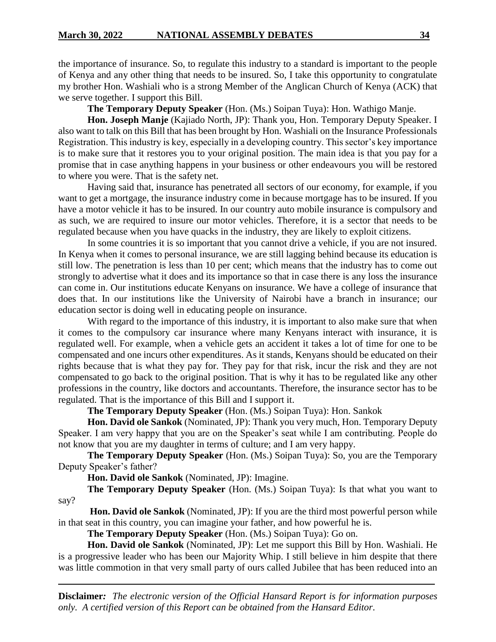the importance of insurance. So, to regulate this industry to a standard is important to the people of Kenya and any other thing that needs to be insured. So, I take this opportunity to congratulate my brother Hon. Washiali who is a strong Member of the Anglican Church of Kenya (ACK) that we serve together. I support this Bill.

**The Temporary Deputy Speaker** (Hon. (Ms.) Soipan Tuya): Hon. Wathigo Manje.

**Hon. Joseph Manje** (Kajiado North, JP): Thank you, Hon. Temporary Deputy Speaker. I also want to talk on this Bill that has been brought by Hon. Washiali on the Insurance Professionals Registration. This industry is key, especially in a developing country. This sector's key importance is to make sure that it restores you to your original position. The main idea is that you pay for a promise that in case anything happens in your business or other endeavours you will be restored to where you were. That is the safety net.

Having said that, insurance has penetrated all sectors of our economy, for example, if you want to get a mortgage, the insurance industry come in because mortgage has to be insured. If you have a motor vehicle it has to be insured. In our country auto mobile insurance is compulsory and as such, we are required to insure our motor vehicles. Therefore, it is a sector that needs to be regulated because when you have quacks in the industry, they are likely to exploit citizens.

In some countries it is so important that you cannot drive a vehicle, if you are not insured. In Kenya when it comes to personal insurance, we are still lagging behind because its education is still low. The penetration is less than 10 per cent; which means that the industry has to come out strongly to advertise what it does and its importance so that in case there is any loss the insurance can come in. Our institutions educate Kenyans on insurance. We have a college of insurance that does that. In our institutions like the University of Nairobi have a branch in insurance; our education sector is doing well in educating people on insurance.

With regard to the importance of this industry, it is important to also make sure that when it comes to the compulsory car insurance where many Kenyans interact with insurance, it is regulated well. For example, when a vehicle gets an accident it takes a lot of time for one to be compensated and one incurs other expenditures. As it stands, Kenyans should be educated on their rights because that is what they pay for. They pay for that risk, incur the risk and they are not compensated to go back to the original position. That is why it has to be regulated like any other professions in the country, like doctors and accountants. Therefore, the insurance sector has to be regulated. That is the importance of this Bill and I support it.

**The Temporary Deputy Speaker** (Hon. (Ms.) Soipan Tuya): Hon. Sankok

**Hon. David ole Sankok** (Nominated, JP): Thank you very much, Hon. Temporary Deputy Speaker. I am very happy that you are on the Speaker's seat while I am contributing. People do not know that you are my daughter in terms of culture; and I am very happy.

**The Temporary Deputy Speaker** (Hon. (Ms.) Soipan Tuya): So, you are the Temporary Deputy Speaker's father?

**Hon. David ole Sankok** (Nominated, JP): Imagine.

**The Temporary Deputy Speaker** (Hon. (Ms.) Soipan Tuya): Is that what you want to say?

**Hon. David ole Sankok** (Nominated, JP): If you are the third most powerful person while in that seat in this country, you can imagine your father, and how powerful he is.

**The Temporary Deputy Speaker** (Hon. (Ms.) Soipan Tuya): Go on.

**Hon. David ole Sankok** (Nominated, JP): Let me support this Bill by Hon. Washiali. He is a progressive leader who has been our Majority Whip. I still believe in him despite that there was little commotion in that very small party of ours called Jubilee that has been reduced into an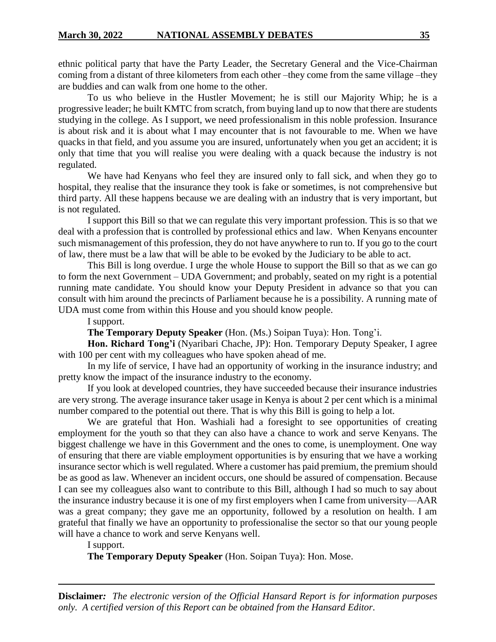ethnic political party that have the Party Leader, the Secretary General and the Vice-Chairman coming from a distant of three kilometers from each other –they come from the same village –they are buddies and can walk from one home to the other.

To us who believe in the Hustler Movement; he is still our Majority Whip; he is a progressive leader; he built KMTC from scratch, from buying land up to now that there are students studying in the college. As I support, we need professionalism in this noble profession. Insurance is about risk and it is about what I may encounter that is not favourable to me. When we have quacks in that field, and you assume you are insured, unfortunately when you get an accident; it is only that time that you will realise you were dealing with a quack because the industry is not regulated.

We have had Kenyans who feel they are insured only to fall sick, and when they go to hospital, they realise that the insurance they took is fake or sometimes, is not comprehensive but third party. All these happens because we are dealing with an industry that is very important, but is not regulated.

I support this Bill so that we can regulate this very important profession. This is so that we deal with a profession that is controlled by professional ethics and law. When Kenyans encounter such mismanagement of this profession, they do not have anywhere to run to. If you go to the court of law, there must be a law that will be able to be evoked by the Judiciary to be able to act.

This Bill is long overdue. I urge the whole House to support the Bill so that as we can go to form the next Government – UDA Government; and probably, seated on my right is a potential running mate candidate. You should know your Deputy President in advance so that you can consult with him around the precincts of Parliament because he is a possibility. A running mate of UDA must come from within this House and you should know people.

I support.

**The Temporary Deputy Speaker** (Hon. (Ms.) Soipan Tuya): Hon. Tong'i.

**Hon. Richard Tong'i** (Nyaribari Chache, JP): Hon. Temporary Deputy Speaker, I agree with 100 per cent with my colleagues who have spoken ahead of me.

In my life of service, I have had an opportunity of working in the insurance industry; and pretty know the impact of the insurance industry to the economy.

If you look at developed countries, they have succeeded because their insurance industries are very strong. The average insurance taker usage in Kenya is about 2 per cent which is a minimal number compared to the potential out there. That is why this Bill is going to help a lot.

We are grateful that Hon. Washiali had a foresight to see opportunities of creating employment for the youth so that they can also have a chance to work and serve Kenyans. The biggest challenge we have in this Government and the ones to come, is unemployment. One way of ensuring that there are viable employment opportunities is by ensuring that we have a working insurance sector which is well regulated. Where a customer has paid premium, the premium should be as good as law. Whenever an incident occurs, one should be assured of compensation. Because I can see my colleagues also want to contribute to this Bill, although I had so much to say about the insurance industry because it is one of my first employers when I came from university—AAR was a great company; they gave me an opportunity, followed by a resolution on health. I am grateful that finally we have an opportunity to professionalise the sector so that our young people will have a chance to work and serve Kenyans well.

I support.

**The Temporary Deputy Speaker** (Hon. Soipan Tuya): Hon. Mose.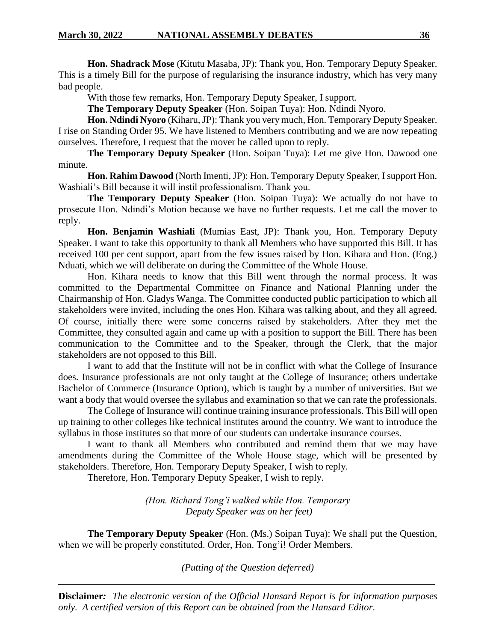**Hon. Shadrack Mose** (Kitutu Masaba, JP): Thank you, Hon. Temporary Deputy Speaker. This is a timely Bill for the purpose of regularising the insurance industry, which has very many bad people.

With those few remarks, Hon. Temporary Deputy Speaker, I support.

**The Temporary Deputy Speaker** (Hon. Soipan Tuya): Hon. Ndindi Nyoro.

**Hon. Ndindi Nyoro** (Kiharu, JP): Thank you very much, Hon. Temporary Deputy Speaker. I rise on Standing Order 95. We have listened to Members contributing and we are now repeating ourselves. Therefore, I request that the mover be called upon to reply.

**The Temporary Deputy Speaker** (Hon. Soipan Tuya): Let me give Hon. Dawood one minute.

**Hon. Rahim Dawood** (North Imenti, JP): Hon. Temporary Deputy Speaker, I support Hon. Washiali's Bill because it will instil professionalism. Thank you.

**The Temporary Deputy Speaker** (Hon. Soipan Tuya): We actually do not have to prosecute Hon. Ndindi's Motion because we have no further requests. Let me call the mover to reply.

**Hon. Benjamin Washiali** (Mumias East, JP): Thank you, Hon. Temporary Deputy Speaker. I want to take this opportunity to thank all Members who have supported this Bill. It has received 100 per cent support, apart from the few issues raised by Hon. Kihara and Hon. (Eng.) Nduati, which we will deliberate on during the Committee of the Whole House.

Hon. Kihara needs to know that this Bill went through the normal process. It was committed to the Departmental Committee on Finance and National Planning under the Chairmanship of Hon. Gladys Wanga. The Committee conducted public participation to which all stakeholders were invited, including the ones Hon. Kihara was talking about, and they all agreed. Of course, initially there were some concerns raised by stakeholders. After they met the Committee, they consulted again and came up with a position to support the Bill. There has been communication to the Committee and to the Speaker, through the Clerk, that the major stakeholders are not opposed to this Bill.

I want to add that the Institute will not be in conflict with what the College of Insurance does. Insurance professionals are not only taught at the College of Insurance; others undertake Bachelor of Commerce (Insurance Option), which is taught by a number of universities. But we want a body that would oversee the syllabus and examination so that we can rate the professionals.

The College of Insurance will continue training insurance professionals. This Bill will open up training to other colleges like technical institutes around the country. We want to introduce the syllabus in those institutes so that more of our students can undertake insurance courses.

I want to thank all Members who contributed and remind them that we may have amendments during the Committee of the Whole House stage, which will be presented by stakeholders. Therefore, Hon. Temporary Deputy Speaker, I wish to reply.

Therefore, Hon. Temporary Deputy Speaker, I wish to reply.

*(Hon. Richard Tong'i walked while Hon. Temporary Deputy Speaker was on her feet)*

**The Temporary Deputy Speaker** (Hon. (Ms.) Soipan Tuya): We shall put the Question, when we will be properly constituted. Order, Hon. Tong'i! Order Members.

*(Putting of the Question deferred)*